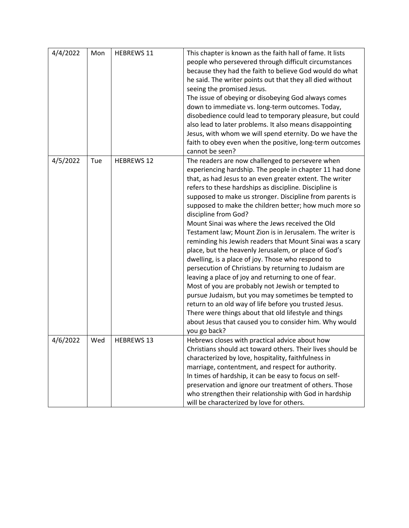| 4/4/2022 | Mon | <b>HEBREWS 11</b> | This chapter is known as the faith hall of fame. It lists<br>people who persevered through difficult circumstances<br>because they had the faith to believe God would do what<br>he said. The writer points out that they all died without<br>seeing the promised Jesus.<br>The issue of obeying or disobeying God always comes<br>down to immediate vs. long-term outcomes. Today,<br>disobedience could lead to temporary pleasure, but could<br>also lead to later problems. It also means disappointing<br>Jesus, with whom we will spend eternity. Do we have the<br>faith to obey even when the positive, long-term outcomes<br>cannot be seen?                                                                                                                                                                                                                                                                                                                                                                                                                                               |
|----------|-----|-------------------|-----------------------------------------------------------------------------------------------------------------------------------------------------------------------------------------------------------------------------------------------------------------------------------------------------------------------------------------------------------------------------------------------------------------------------------------------------------------------------------------------------------------------------------------------------------------------------------------------------------------------------------------------------------------------------------------------------------------------------------------------------------------------------------------------------------------------------------------------------------------------------------------------------------------------------------------------------------------------------------------------------------------------------------------------------------------------------------------------------|
| 4/5/2022 | Tue | <b>HEBREWS 12</b> | The readers are now challenged to persevere when<br>experiencing hardship. The people in chapter 11 had done<br>that, as had Jesus to an even greater extent. The writer<br>refers to these hardships as discipline. Discipline is<br>supposed to make us stronger. Discipline from parents is<br>supposed to make the children better; how much more so<br>discipline from God?<br>Mount Sinai was where the Jews received the Old<br>Testament law; Mount Zion is in Jerusalem. The writer is<br>reminding his Jewish readers that Mount Sinai was a scary<br>place, but the heavenly Jerusalem, or place of God's<br>dwelling, is a place of joy. Those who respond to<br>persecution of Christians by returning to Judaism are<br>leaving a place of joy and returning to one of fear.<br>Most of you are probably not Jewish or tempted to<br>pursue Judaism, but you may sometimes be tempted to<br>return to an old way of life before you trusted Jesus.<br>There were things about that old lifestyle and things<br>about Jesus that caused you to consider him. Why would<br>you go back? |
| 4/6/2022 | Wed | <b>HEBREWS 13</b> | Hebrews closes with practical advice about how<br>Christians should act toward others. Their lives should be<br>characterized by love, hospitality, faithfulness in<br>marriage, contentment, and respect for authority.<br>In times of hardship, it can be easy to focus on self-<br>preservation and ignore our treatment of others. Those<br>who strengthen their relationship with God in hardship<br>will be characterized by love for others.                                                                                                                                                                                                                                                                                                                                                                                                                                                                                                                                                                                                                                                 |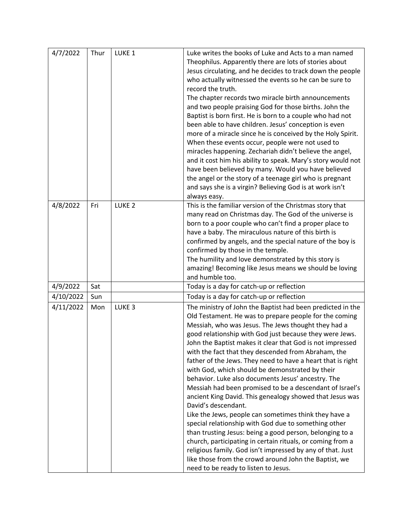| 4/7/2022  | Thur | LUKE <sub>1</sub> | Luke writes the books of Luke and Acts to a man named        |
|-----------|------|-------------------|--------------------------------------------------------------|
|           |      |                   | Theophilus. Apparently there are lots of stories about       |
|           |      |                   | Jesus circulating, and he decides to track down the people   |
|           |      |                   | who actually witnessed the events so he can be sure to       |
|           |      |                   | record the truth.                                            |
|           |      |                   | The chapter records two miracle birth announcements          |
|           |      |                   | and two people praising God for those births. John the       |
|           |      |                   | Baptist is born first. He is born to a couple who had not    |
|           |      |                   | been able to have children. Jesus' conception is even        |
|           |      |                   | more of a miracle since he is conceived by the Holy Spirit.  |
|           |      |                   | When these events occur, people were not used to             |
|           |      |                   | miracles happening. Zechariah didn't believe the angel,      |
|           |      |                   | and it cost him his ability to speak. Mary's story would not |
|           |      |                   | have been believed by many. Would you have believed          |
|           |      |                   |                                                              |
|           |      |                   | the angel or the story of a teenage girl who is pregnant     |
|           |      |                   | and says she is a virgin? Believing God is at work isn't     |
|           |      |                   | always easy.                                                 |
| 4/8/2022  | Fri  | LUKE <sub>2</sub> | This is the familiar version of the Christmas story that     |
|           |      |                   | many read on Christmas day. The God of the universe is       |
|           |      |                   | born to a poor couple who can't find a proper place to       |
|           |      |                   | have a baby. The miraculous nature of this birth is          |
|           |      |                   | confirmed by angels, and the special nature of the boy is    |
|           |      |                   | confirmed by those in the temple.                            |
|           |      |                   | The humility and love demonstrated by this story is          |
|           |      |                   | amazing! Becoming like Jesus means we should be loving       |
|           |      |                   | and humble too.                                              |
| 4/9/2022  | Sat  |                   | Today is a day for catch-up or reflection                    |
| 4/10/2022 | Sun  |                   | Today is a day for catch-up or reflection                    |
| 4/11/2022 | Mon  | LUKE <sub>3</sub> | The ministry of John the Baptist had been predicted in the   |
|           |      |                   | Old Testament. He was to prepare people for the coming       |
|           |      |                   | Messiah, who was Jesus. The Jews thought they had a          |
|           |      |                   | good relationship with God just because they were Jews.      |
|           |      |                   | John the Baptist makes it clear that God is not impressed    |
|           |      |                   | with the fact that they descended from Abraham, the          |
|           |      |                   | father of the Jews. They need to have a heart that is right  |
|           |      |                   | with God, which should be demonstrated by their              |
|           |      |                   | behavior. Luke also documents Jesus' ancestry. The           |
|           |      |                   | Messiah had been promised to be a descendant of Israel's     |
|           |      |                   | ancient King David. This genealogy showed that Jesus was     |
|           |      |                   | David's descendant.                                          |
|           |      |                   |                                                              |
|           |      |                   | Like the Jews, people can sometimes think they have a        |
|           |      |                   | special relationship with God due to something other         |
|           |      |                   | than trusting Jesus: being a good person, belonging to a     |
|           |      |                   | church, participating in certain rituals, or coming from a   |
|           |      |                   | religious family. God isn't impressed by any of that. Just   |
|           |      |                   | like those from the crowd around John the Baptist, we        |
|           |      |                   | need to be ready to listen to Jesus.                         |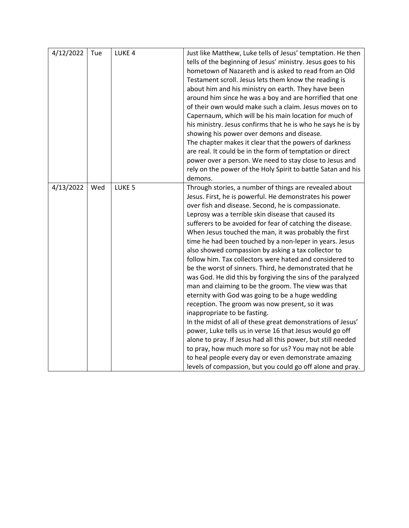| 4/12/2022 | Tue | LUKE <sub>4</sub> | Just like Matthew, Luke tells of Jesus' temptation. He then<br>tells of the beginning of Jesus' ministry. Jesus goes to his<br>hometown of Nazareth and is asked to read from an Old<br>Testament scroll. Jesus lets them know the reading is<br>about him and his ministry on earth. They have been<br>around him since he was a boy and are horrified that one<br>of their own would make such a claim. Jesus moves on to<br>Capernaum, which will be his main location for much of<br>his ministry. Jesus confirms that he is who he says he is by<br>showing his power over demons and disease.<br>The chapter makes it clear that the powers of darkness<br>are real. It could be in the form of temptation or direct<br>power over a person. We need to stay close to Jesus and<br>rely on the power of the Holy Spirit to battle Satan and his                                                                                                                                                                                                                                                                                                                                                                                |
|-----------|-----|-------------------|--------------------------------------------------------------------------------------------------------------------------------------------------------------------------------------------------------------------------------------------------------------------------------------------------------------------------------------------------------------------------------------------------------------------------------------------------------------------------------------------------------------------------------------------------------------------------------------------------------------------------------------------------------------------------------------------------------------------------------------------------------------------------------------------------------------------------------------------------------------------------------------------------------------------------------------------------------------------------------------------------------------------------------------------------------------------------------------------------------------------------------------------------------------------------------------------------------------------------------------|
|           |     |                   | demons.                                                                                                                                                                                                                                                                                                                                                                                                                                                                                                                                                                                                                                                                                                                                                                                                                                                                                                                                                                                                                                                                                                                                                                                                                              |
| 4/13/2022 | Wed | LUKE <sub>5</sub> | Through stories, a number of things are revealed about<br>Jesus. First, he is powerful. He demonstrates his power<br>over fish and disease. Second, he is compassionate.<br>Leprosy was a terrible skin disease that caused its<br>sufferers to be avoided for fear of catching the disease.<br>When Jesus touched the man, it was probably the first<br>time he had been touched by a non-leper in years. Jesus<br>also showed compassion by asking a tax collector to<br>follow him. Tax collectors were hated and considered to<br>be the worst of sinners. Third, he demonstrated that he<br>was God. He did this by forgiving the sins of the paralyzed<br>man and claiming to be the groom. The view was that<br>eternity with God was going to be a huge wedding<br>reception. The groom was now present, so it was<br>inappropriate to be fasting.<br>In the midst of all of these great demonstrations of Jesus'<br>power, Luke tells us in verse 16 that Jesus would go off<br>alone to pray. If Jesus had all this power, but still needed<br>to pray, how much more so for us? You may not be able<br>to heal people every day or even demonstrate amazing<br>levels of compassion, but you could go off alone and pray. |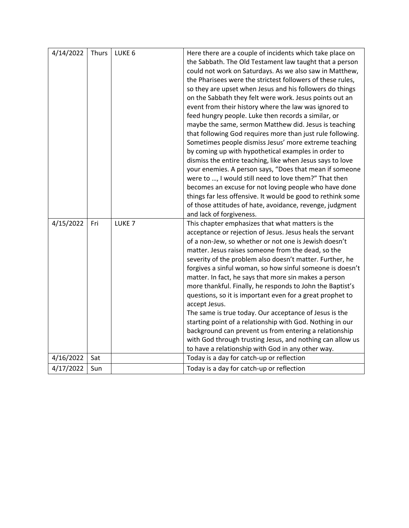| 4/14/2022 | Thurs | LUKE <sub>6</sub> | Here there are a couple of incidents which take place on<br>the Sabbath. The Old Testament law taught that a person<br>could not work on Saturdays. As we also saw in Matthew,<br>the Pharisees were the strictest followers of these rules,<br>so they are upset when Jesus and his followers do things<br>on the Sabbath they felt were work. Jesus points out an<br>event from their history where the law was ignored to<br>feed hungry people. Luke then records a similar, or<br>maybe the same, sermon Matthew did. Jesus is teaching<br>that following God requires more than just rule following.<br>Sometimes people dismiss Jesus' more extreme teaching<br>by coming up with hypothetical examples in order to<br>dismiss the entire teaching, like when Jesus says to love<br>your enemies. A person says, "Does that mean if someone<br>were to , I would still need to love them?" That then<br>becomes an excuse for not loving people who have done<br>things far less offensive. It would be good to rethink some |
|-----------|-------|-------------------|-------------------------------------------------------------------------------------------------------------------------------------------------------------------------------------------------------------------------------------------------------------------------------------------------------------------------------------------------------------------------------------------------------------------------------------------------------------------------------------------------------------------------------------------------------------------------------------------------------------------------------------------------------------------------------------------------------------------------------------------------------------------------------------------------------------------------------------------------------------------------------------------------------------------------------------------------------------------------------------------------------------------------------------|
|           |       |                   | of those attitudes of hate, avoidance, revenge, judgment                                                                                                                                                                                                                                                                                                                                                                                                                                                                                                                                                                                                                                                                                                                                                                                                                                                                                                                                                                            |
|           |       |                   | and lack of forgiveness.                                                                                                                                                                                                                                                                                                                                                                                                                                                                                                                                                                                                                                                                                                                                                                                                                                                                                                                                                                                                            |
| 4/15/2022 | Fri   | LUKE <sub>7</sub> | This chapter emphasizes that what matters is the<br>acceptance or rejection of Jesus. Jesus heals the servant<br>of a non-Jew, so whether or not one is Jewish doesn't<br>matter. Jesus raises someone from the dead, so the<br>severity of the problem also doesn't matter. Further, he<br>forgives a sinful woman, so how sinful someone is doesn't<br>matter. In fact, he says that more sin makes a person<br>more thankful. Finally, he responds to John the Baptist's<br>questions, so it is important even for a great prophet to<br>accept Jesus.<br>The same is true today. Our acceptance of Jesus is the<br>starting point of a relationship with God. Nothing in our<br>background can prevent us from entering a relationship<br>with God through trusting Jesus, and nothing can allow us<br>to have a relationship with God in any other way.                                                                                                                                                                        |
| 4/16/2022 | Sat   |                   | Today is a day for catch-up or reflection                                                                                                                                                                                                                                                                                                                                                                                                                                                                                                                                                                                                                                                                                                                                                                                                                                                                                                                                                                                           |
| 4/17/2022 | Sun   |                   | Today is a day for catch-up or reflection                                                                                                                                                                                                                                                                                                                                                                                                                                                                                                                                                                                                                                                                                                                                                                                                                                                                                                                                                                                           |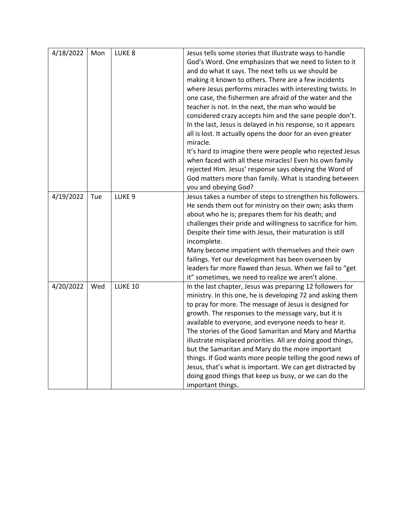| 4/18/2022 | Mon | LUKE <sub>8</sub> | Jesus tells some stories that illustrate ways to handle<br>God's Word. One emphasizes that we need to listen to it<br>and do what it says. The next tells us we should be<br>making it known to others. There are a few incidents<br>where Jesus performs miracles with interesting twists. In<br>one case, the fishermen are afraid of the water and the<br>teacher is not. In the next, the man who would be<br>considered crazy accepts him and the sane people don't.<br>In the last, Jesus is delayed in his response, so it appears<br>all is lost. It actually opens the door for an even greater<br>miracle.<br>It's hard to imagine there were people who rejected Jesus<br>when faced with all these miracles! Even his own family<br>rejected Him. Jesus' response says obeying the Word of<br>God matters more than family. What is standing between<br>you and obeying God? |
|-----------|-----|-------------------|------------------------------------------------------------------------------------------------------------------------------------------------------------------------------------------------------------------------------------------------------------------------------------------------------------------------------------------------------------------------------------------------------------------------------------------------------------------------------------------------------------------------------------------------------------------------------------------------------------------------------------------------------------------------------------------------------------------------------------------------------------------------------------------------------------------------------------------------------------------------------------------|
| 4/19/2022 | Tue | LUKE <sub>9</sub> | Jesus takes a number of steps to strengthen his followers.<br>He sends them out for ministry on their own; asks them<br>about who he is; prepares them for his death; and<br>challenges their pride and willingness to sacrifice for him.<br>Despite their time with Jesus, their maturation is still<br>incomplete.<br>Many become impatient with themselves and their own<br>failings. Yet our development has been overseen by<br>leaders far more flawed than Jesus. When we fail to "get<br>it" sometimes, we need to realize we aren't alone.                                                                                                                                                                                                                                                                                                                                      |
| 4/20/2022 | Wed | <b>LUKE 10</b>    | In the last chapter, Jesus was preparing 12 followers for<br>ministry. In this one, he is developing 72 and asking them<br>to pray for more. The message of Jesus is designed for<br>growth. The responses to the message vary, but it is<br>available to everyone, and everyone needs to hear it.<br>The stories of the Good Samaritan and Mary and Martha<br>illustrate misplaced priorities. All are doing good things,<br>but the Samaritan and Mary do the more important<br>things. If God wants more people telling the good news of<br>Jesus, that's what is important. We can get distracted by<br>doing good things that keep us busy, or we can do the<br>important things.                                                                                                                                                                                                   |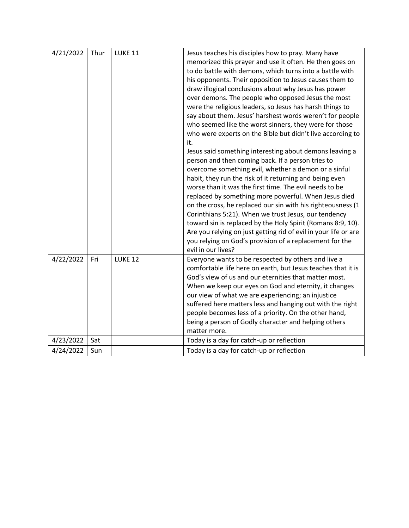| 4/21/2022 | Thur | LUKE 11 | Jesus teaches his disciples how to pray. Many have<br>memorized this prayer and use it often. He then goes on<br>to do battle with demons, which turns into a battle with<br>his opponents. Their opposition to Jesus causes them to<br>draw illogical conclusions about why Jesus has power<br>over demons. The people who opposed Jesus the most<br>were the religious leaders, so Jesus has harsh things to<br>say about them. Jesus' harshest words weren't for people<br>who seemed like the worst sinners, they were for those<br>who were experts on the Bible but didn't live according to<br>it.<br>Jesus said something interesting about demons leaving a<br>person and then coming back. If a person tries to<br>overcome something evil, whether a demon or a sinful<br>habit, they run the risk of it returning and being even<br>worse than it was the first time. The evil needs to be<br>replaced by something more powerful. When Jesus died<br>on the cross, he replaced our sin with his righteousness (1<br>Corinthians 5:21). When we trust Jesus, our tendency<br>toward sin is replaced by the Holy Spirit (Romans 8:9, 10).<br>Are you relying on just getting rid of evil in your life or are<br>you relying on God's provision of a replacement for the<br>evil in our lives? |
|-----------|------|---------|----------------------------------------------------------------------------------------------------------------------------------------------------------------------------------------------------------------------------------------------------------------------------------------------------------------------------------------------------------------------------------------------------------------------------------------------------------------------------------------------------------------------------------------------------------------------------------------------------------------------------------------------------------------------------------------------------------------------------------------------------------------------------------------------------------------------------------------------------------------------------------------------------------------------------------------------------------------------------------------------------------------------------------------------------------------------------------------------------------------------------------------------------------------------------------------------------------------------------------------------------------------------------------------------------------|
| 4/22/2022 | Fri  | LUKE 12 | Everyone wants to be respected by others and live a<br>comfortable life here on earth, but Jesus teaches that it is<br>God's view of us and our eternities that matter most.<br>When we keep our eyes on God and eternity, it changes<br>our view of what we are experiencing; an injustice<br>suffered here matters less and hanging out with the right<br>people becomes less of a priority. On the other hand,<br>being a person of Godly character and helping others<br>matter more.                                                                                                                                                                                                                                                                                                                                                                                                                                                                                                                                                                                                                                                                                                                                                                                                                |
| 4/23/2022 | Sat  |         | Today is a day for catch-up or reflection                                                                                                                                                                                                                                                                                                                                                                                                                                                                                                                                                                                                                                                                                                                                                                                                                                                                                                                                                                                                                                                                                                                                                                                                                                                                |
| 4/24/2022 | Sun  |         | Today is a day for catch-up or reflection                                                                                                                                                                                                                                                                                                                                                                                                                                                                                                                                                                                                                                                                                                                                                                                                                                                                                                                                                                                                                                                                                                                                                                                                                                                                |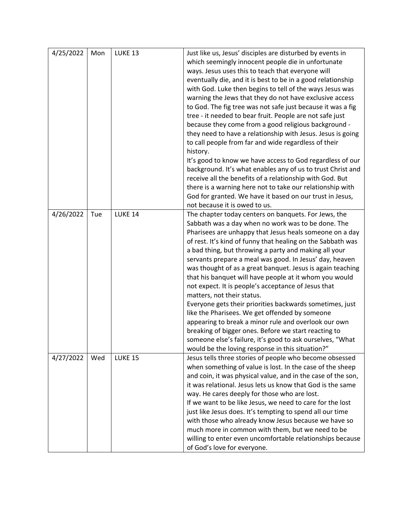| 4/25/2022 | Mon | LUKE 13        | Just like us, Jesus' disciples are disturbed by events in<br>which seemingly innocent people die in unfortunate<br>ways. Jesus uses this to teach that everyone will<br>eventually die, and it is best to be in a good relationship<br>with God. Luke then begins to tell of the ways Jesus was<br>warning the Jews that they do not have exclusive access<br>to God. The fig tree was not safe just because it was a fig<br>tree - it needed to bear fruit. People are not safe just<br>because they come from a good religious background -<br>they need to have a relationship with Jesus. Jesus is going<br>to call people from far and wide regardless of their<br>history.<br>It's good to know we have access to God regardless of our<br>background. It's what enables any of us to trust Christ and<br>receive all the benefits of a relationship with God. But<br>there is a warning here not to take our relationship with<br>God for granted. We have it based on our trust in Jesus,<br>not because it is owed to us. |
|-----------|-----|----------------|------------------------------------------------------------------------------------------------------------------------------------------------------------------------------------------------------------------------------------------------------------------------------------------------------------------------------------------------------------------------------------------------------------------------------------------------------------------------------------------------------------------------------------------------------------------------------------------------------------------------------------------------------------------------------------------------------------------------------------------------------------------------------------------------------------------------------------------------------------------------------------------------------------------------------------------------------------------------------------------------------------------------------------|
| 4/26/2022 | Tue | LUKE 14        | The chapter today centers on banquets. For Jews, the<br>Sabbath was a day when no work was to be done. The<br>Pharisees are unhappy that Jesus heals someone on a day<br>of rest. It's kind of funny that healing on the Sabbath was<br>a bad thing, but throwing a party and making all your<br>servants prepare a meal was good. In Jesus' day, heaven<br>was thought of as a great banquet. Jesus is again teaching<br>that his banquet will have people at it whom you would<br>not expect. It is people's acceptance of Jesus that<br>matters, not their status.<br>Everyone gets their priorities backwards sometimes, just<br>like the Pharisees. We get offended by someone<br>appearing to break a minor rule and overlook our own<br>breaking of bigger ones. Before we start reacting to<br>someone else's failure, it's good to ask ourselves, "What<br>would be the loving response in this situation?"                                                                                                               |
| 4/27/2022 | Wed | <b>LUKE 15</b> | Jesus tells three stories of people who become obsessed<br>when something of value is lost. In the case of the sheep<br>and coin, it was physical value, and in the case of the son,<br>it was relational. Jesus lets us know that God is the same<br>way. He cares deeply for those who are lost.<br>If we want to be like Jesus, we need to care for the lost<br>just like Jesus does. It's tempting to spend all our time<br>with those who already know Jesus because we have so<br>much more in common with them, but we need to be<br>willing to enter even uncomfortable relationships because<br>of God's love for everyone.                                                                                                                                                                                                                                                                                                                                                                                               |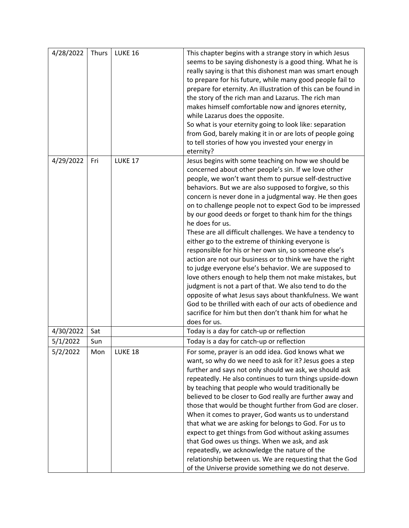| 4/28/2022 | Thurs | <b>LUKE 16</b> | This chapter begins with a strange story in which Jesus       |
|-----------|-------|----------------|---------------------------------------------------------------|
|           |       |                | seems to be saying dishonesty is a good thing. What he is     |
|           |       |                | really saying is that this dishonest man was smart enough     |
|           |       |                | to prepare for his future, while many good people fail to     |
|           |       |                | prepare for eternity. An illustration of this can be found in |
|           |       |                | the story of the rich man and Lazarus. The rich man           |
|           |       |                |                                                               |
|           |       |                | makes himself comfortable now and ignores eternity,           |
|           |       |                | while Lazarus does the opposite.                              |
|           |       |                | So what is your eternity going to look like: separation       |
|           |       |                | from God, barely making it in or are lots of people going     |
|           |       |                | to tell stories of how you invested your energy in            |
|           |       |                | eternity?                                                     |
| 4/29/2022 | Fri   | <b>LUKE 17</b> | Jesus begins with some teaching on how we should be           |
|           |       |                | concerned about other people's sin. If we love other          |
|           |       |                | people, we won't want them to pursue self-destructive         |
|           |       |                | behaviors. But we are also supposed to forgive, so this       |
|           |       |                | concern is never done in a judgmental way. He then goes       |
|           |       |                | on to challenge people not to expect God to be impressed      |
|           |       |                |                                                               |
|           |       |                | by our good deeds or forget to thank him for the things       |
|           |       |                | he does for us.                                               |
|           |       |                | These are all difficult challenges. We have a tendency to     |
|           |       |                | either go to the extreme of thinking everyone is              |
|           |       |                | responsible for his or her own sin, so someone else's         |
|           |       |                | action are not our business or to think we have the right     |
|           |       |                | to judge everyone else's behavior. We are supposed to         |
|           |       |                | love others enough to help them not make mistakes, but        |
|           |       |                | judgment is not a part of that. We also tend to do the        |
|           |       |                | opposite of what Jesus says about thankfulness. We want       |
|           |       |                | God to be thrilled with each of our acts of obedience and     |
|           |       |                | sacrifice for him but then don't thank him for what he        |
|           |       |                |                                                               |
|           |       |                | does for us.                                                  |
| 4/30/2022 | Sat   |                | Today is a day for catch-up or reflection                     |
| 5/1/2022  | Sun   |                | Today is a day for catch-up or reflection                     |
| 5/2/2022  | Mon   | LUKE 18        | For some, prayer is an odd idea. God knows what we            |
|           |       |                | want, so why do we need to ask for it? Jesus goes a step      |
|           |       |                | further and says not only should we ask, we should ask        |
|           |       |                | repeatedly. He also continues to turn things upside-down      |
|           |       |                | by teaching that people who would traditionally be            |
|           |       |                | believed to be closer to God really are further away and      |
|           |       |                | those that would be thought further from God are closer.      |
|           |       |                |                                                               |
|           |       |                | When it comes to prayer, God wants us to understand           |
|           |       |                | that what we are asking for belongs to God. For us to         |
|           |       |                | expect to get things from God without asking assumes          |
|           |       |                | that God owes us things. When we ask, and ask                 |
|           |       |                | repeatedly, we acknowledge the nature of the                  |
|           |       |                | relationship between us. We are requesting that the God       |
|           |       |                | of the Universe provide something we do not deserve.          |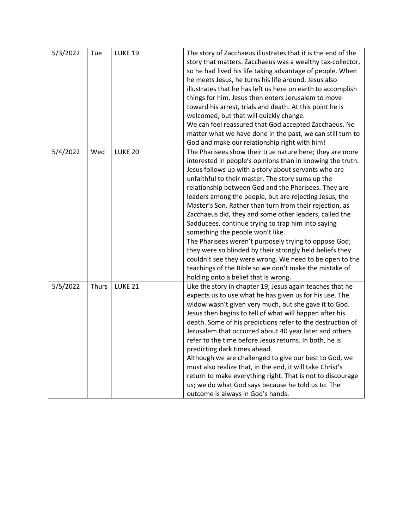| 5/3/2022 | Tue   | <b>LUKE 19</b>     | The story of Zacchaeus illustrates that it is the end of the<br>story that matters. Zacchaeus was a wealthy tax-collector,<br>so he had lived his life taking advantage of people. When<br>he meets Jesus, he turns his life around. Jesus also<br>illustrates that he has left us here on earth to accomplish<br>things for him. Jesus then enters Jerusalem to move<br>toward his arrest, trials and death. At this point he is<br>welcomed, but that will quickly change.<br>We can feel reassured that God accepted Zacchaeus. No<br>matter what we have done in the past, we can still turn to<br>God and make our relationship right with him!                                                                                                                                                                                                   |
|----------|-------|--------------------|--------------------------------------------------------------------------------------------------------------------------------------------------------------------------------------------------------------------------------------------------------------------------------------------------------------------------------------------------------------------------------------------------------------------------------------------------------------------------------------------------------------------------------------------------------------------------------------------------------------------------------------------------------------------------------------------------------------------------------------------------------------------------------------------------------------------------------------------------------|
| 5/4/2022 | Wed   | LUKE <sub>20</sub> | The Pharisees show their true nature here; they are more<br>interested in people's opinions than in knowing the truth.<br>Jesus follows up with a story about servants who are<br>unfaithful to their master. The story sums up the<br>relationship between God and the Pharisees. They are<br>leaders among the people, but are rejecting Jesus, the<br>Master's Son. Rather than turn from their rejection, as<br>Zacchaeus did, they and some other leaders, called the<br>Sadducees, continue trying to trap him into saying<br>something the people won't like.<br>The Pharisees weren't purposely trying to oppose God;<br>they were so blinded by their strongly held beliefs they<br>couldn't see they were wrong. We need to be open to the<br>teachings of the Bible so we don't make the mistake of<br>holding onto a belief that is wrong. |
| 5/5/2022 | Thurs | <b>LUKE 21</b>     | Like the story in chapter 19, Jesus again teaches that he<br>expects us to use what he has given us for his use. The<br>widow wasn't given very much, but she gave it to God.<br>Jesus then begins to tell of what will happen after his<br>death. Some of his predictions refer to the destruction of<br>Jerusalem that occurred about 40 year later and others<br>refer to the time before Jesus returns. In both, he is<br>predicting dark times ahead.<br>Although we are challenged to give our best to God, we<br>must also realize that, in the end, it will take Christ's<br>return to make everything right. That is not to discourage<br>us; we do what God says because he told us to. The<br>outcome is always in God's hands.                                                                                                             |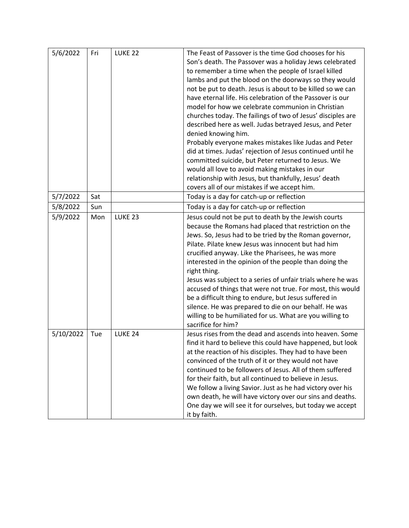| 5/6/2022  | Fri | LUKE <sub>22</sub> | The Feast of Passover is the time God chooses for his<br>Son's death. The Passover was a holiday Jews celebrated<br>to remember a time when the people of Israel killed<br>lambs and put the blood on the doorways so they would<br>not be put to death. Jesus is about to be killed so we can<br>have eternal life. His celebration of the Passover is our<br>model for how we celebrate communion in Christian<br>churches today. The failings of two of Jesus' disciples are<br>described here as well. Judas betrayed Jesus, and Peter<br>denied knowing him.<br>Probably everyone makes mistakes like Judas and Peter<br>did at times. Judas' rejection of Jesus continued until he<br>committed suicide, but Peter returned to Jesus. We<br>would all love to avoid making mistakes in our<br>relationship with Jesus, but thankfully, Jesus' death |
|-----------|-----|--------------------|-----------------------------------------------------------------------------------------------------------------------------------------------------------------------------------------------------------------------------------------------------------------------------------------------------------------------------------------------------------------------------------------------------------------------------------------------------------------------------------------------------------------------------------------------------------------------------------------------------------------------------------------------------------------------------------------------------------------------------------------------------------------------------------------------------------------------------------------------------------|
| 5/7/2022  | Sat |                    | covers all of our mistakes if we accept him.<br>Today is a day for catch-up or reflection                                                                                                                                                                                                                                                                                                                                                                                                                                                                                                                                                                                                                                                                                                                                                                 |
| 5/8/2022  | Sun |                    | Today is a day for catch-up or reflection                                                                                                                                                                                                                                                                                                                                                                                                                                                                                                                                                                                                                                                                                                                                                                                                                 |
| 5/9/2022  | Mon | LUKE <sub>23</sub> | Jesus could not be put to death by the Jewish courts<br>because the Romans had placed that restriction on the<br>Jews. So, Jesus had to be tried by the Roman governor,<br>Pilate. Pilate knew Jesus was innocent but had him<br>crucified anyway. Like the Pharisees, he was more<br>interested in the opinion of the people than doing the<br>right thing.<br>Jesus was subject to a series of unfair trials where he was<br>accused of things that were not true. For most, this would<br>be a difficult thing to endure, but Jesus suffered in<br>silence. He was prepared to die on our behalf. He was<br>willing to be humiliated for us. What are you willing to<br>sacrifice for him?                                                                                                                                                             |
| 5/10/2022 | Tue | LUKE <sub>24</sub> | Jesus rises from the dead and ascends into heaven. Some<br>find it hard to believe this could have happened, but look<br>at the reaction of his disciples. They had to have been<br>convinced of the truth of it or they would not have<br>continued to be followers of Jesus. All of them suffered<br>for their faith, but all continued to believe in Jesus.<br>We follow a living Savior. Just as he had victory over his<br>own death, he will have victory over our sins and deaths.<br>One day we will see it for ourselves, but today we accept<br>it by faith.                                                                                                                                                                                                                                                                                    |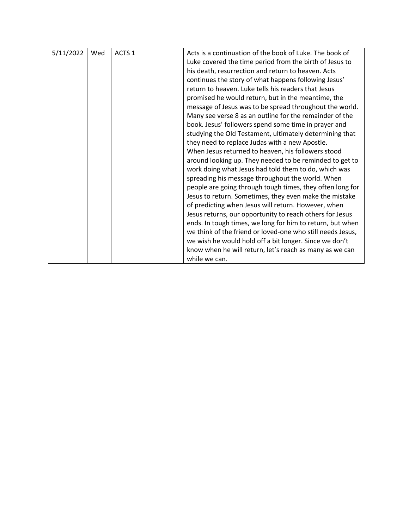| 5/11/2022 | Wed | ACTS <sub>1</sub> | Acts is a continuation of the book of Luke. The book of    |
|-----------|-----|-------------------|------------------------------------------------------------|
|           |     |                   | Luke covered the time period from the birth of Jesus to    |
|           |     |                   | his death, resurrection and return to heaven. Acts         |
|           |     |                   | continues the story of what happens following Jesus'       |
|           |     |                   | return to heaven. Luke tells his readers that Jesus        |
|           |     |                   | promised he would return, but in the meantime, the         |
|           |     |                   | message of Jesus was to be spread throughout the world.    |
|           |     |                   | Many see verse 8 as an outline for the remainder of the    |
|           |     |                   | book. Jesus' followers spend some time in prayer and       |
|           |     |                   | studying the Old Testament, ultimately determining that    |
|           |     |                   | they need to replace Judas with a new Apostle.             |
|           |     |                   | When Jesus returned to heaven, his followers stood         |
|           |     |                   | around looking up. They needed to be reminded to get to    |
|           |     |                   | work doing what Jesus had told them to do, which was       |
|           |     |                   | spreading his message throughout the world. When           |
|           |     |                   | people are going through tough times, they often long for  |
|           |     |                   | Jesus to return. Sometimes, they even make the mistake     |
|           |     |                   | of predicting when Jesus will return. However, when        |
|           |     |                   | Jesus returns, our opportunity to reach others for Jesus   |
|           |     |                   | ends. In tough times, we long for him to return, but when  |
|           |     |                   | we think of the friend or loved-one who still needs Jesus, |
|           |     |                   | we wish he would hold off a bit longer. Since we don't     |
|           |     |                   | know when he will return, let's reach as many as we can    |
|           |     |                   | while we can.                                              |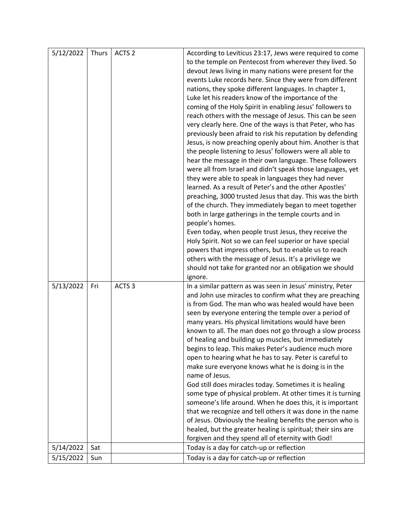| 5/12/2022 | Thurs | ACTS <sub>2</sub> | According to Leviticus 23:17, Jews were required to come                                                        |
|-----------|-------|-------------------|-----------------------------------------------------------------------------------------------------------------|
|           |       |                   | to the temple on Pentecost from wherever they lived. So                                                         |
|           |       |                   | devout Jews living in many nations were present for the                                                         |
|           |       |                   | events Luke records here. Since they were from different                                                        |
|           |       |                   | nations, they spoke different languages. In chapter 1,                                                          |
|           |       |                   | Luke let his readers know of the importance of the                                                              |
|           |       |                   | coming of the Holy Spirit in enabling Jesus' followers to                                                       |
|           |       |                   | reach others with the message of Jesus. This can be seen                                                        |
|           |       |                   | very clearly here. One of the ways is that Peter, who has                                                       |
|           |       |                   | previously been afraid to risk his reputation by defending                                                      |
|           |       |                   | Jesus, is now preaching openly about him. Another is that                                                       |
|           |       |                   | the people listening to Jesus' followers were all able to                                                       |
|           |       |                   | hear the message in their own language. These followers                                                         |
|           |       |                   | were all from Israel and didn't speak those languages, yet                                                      |
|           |       |                   | they were able to speak in languages they had never                                                             |
|           |       |                   | learned. As a result of Peter's and the other Apostles'                                                         |
|           |       |                   | preaching, 3000 trusted Jesus that day. This was the birth                                                      |
|           |       |                   | of the church. They immediately began to meet together                                                          |
|           |       |                   | both in large gatherings in the temple courts and in                                                            |
|           |       |                   | people's homes.                                                                                                 |
|           |       |                   | Even today, when people trust Jesus, they receive the                                                           |
|           |       |                   | Holy Spirit. Not so we can feel superior or have special                                                        |
|           |       |                   | powers that impress others, but to enable us to reach                                                           |
|           |       |                   | others with the message of Jesus. It's a privilege we                                                           |
|           |       |                   | should not take for granted nor an obligation we should                                                         |
|           |       |                   | ignore.                                                                                                         |
| 5/13/2022 | Fri   | ACTS <sub>3</sub> | In a similar pattern as was seen in Jesus' ministry, Peter                                                      |
|           |       |                   | and John use miracles to confirm what they are preaching                                                        |
|           |       |                   | is from God. The man who was healed would have been                                                             |
|           |       |                   | seen by everyone entering the temple over a period of                                                           |
|           |       |                   | many years. His physical limitations would have been                                                            |
|           |       |                   | known to all. The man does not go through a slow process<br>of healing and building up muscles, but immediately |
|           |       |                   | begins to leap. This makes Peter's audience much more                                                           |
|           |       |                   | open to hearing what he has to say. Peter is careful to                                                         |
|           |       |                   | make sure everyone knows what he is doing is in the                                                             |
|           |       |                   | name of Jesus.                                                                                                  |
|           |       |                   | God still does miracles today. Sometimes it is healing                                                          |
|           |       |                   | some type of physical problem. At other times it is turning                                                     |
|           |       |                   | someone's life around. When he does this, it is important                                                       |
|           |       |                   | that we recognize and tell others it was done in the name                                                       |
|           |       |                   | of Jesus. Obviously the healing benefits the person who is                                                      |
|           |       |                   | healed, but the greater healing is spiritual; their sins are                                                    |
|           |       |                   |                                                                                                                 |
|           |       |                   |                                                                                                                 |
| 5/14/2022 | Sat   |                   | forgiven and they spend all of eternity with God!<br>Today is a day for catch-up or reflection                  |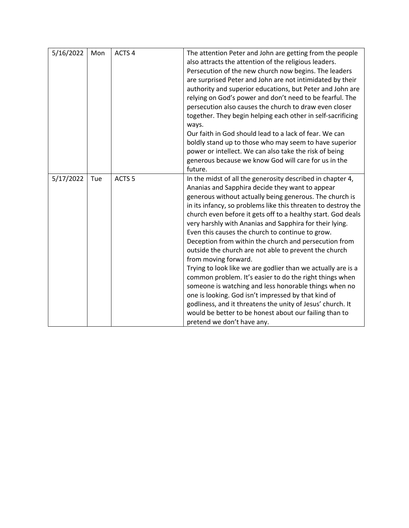| 5/16/2022 | Mon | ACTS <sub>4</sub> | The attention Peter and John are getting from the people<br>also attracts the attention of the religious leaders.<br>Persecution of the new church now begins. The leaders<br>are surprised Peter and John are not intimidated by their<br>authority and superior educations, but Peter and John are<br>relying on God's power and don't need to be fearful. The<br>persecution also causes the church to draw even closer<br>together. They begin helping each other in self-sacrificing<br>ways.<br>Our faith in God should lead to a lack of fear. We can<br>boldly stand up to those who may seem to have superior<br>power or intellect. We can also take the risk of being<br>generous because we know God will care for us in the<br>future.                                                                                                                                                                                                                 |
|-----------|-----|-------------------|---------------------------------------------------------------------------------------------------------------------------------------------------------------------------------------------------------------------------------------------------------------------------------------------------------------------------------------------------------------------------------------------------------------------------------------------------------------------------------------------------------------------------------------------------------------------------------------------------------------------------------------------------------------------------------------------------------------------------------------------------------------------------------------------------------------------------------------------------------------------------------------------------------------------------------------------------------------------|
| 5/17/2022 | Tue | ACTS <sub>5</sub> | In the midst of all the generosity described in chapter 4,<br>Ananias and Sapphira decide they want to appear<br>generous without actually being generous. The church is<br>in its infancy, so problems like this threaten to destroy the<br>church even before it gets off to a healthy start. God deals<br>very harshly with Ananias and Sapphira for their lying.<br>Even this causes the church to continue to grow.<br>Deception from within the church and persecution from<br>outside the church are not able to prevent the church<br>from moving forward.<br>Trying to look like we are godlier than we actually are is a<br>common problem. It's easier to do the right things when<br>someone is watching and less honorable things when no<br>one is looking. God isn't impressed by that kind of<br>godliness, and it threatens the unity of Jesus' church. It<br>would be better to be honest about our failing than to<br>pretend we don't have any. |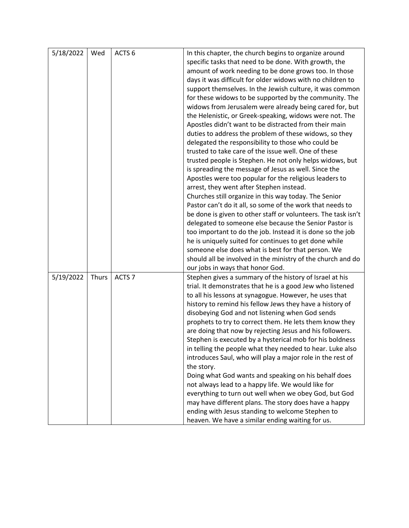| 5/18/2022 | Wed   | ACTS <sub>6</sub> | In this chapter, the church begins to organize around<br>specific tasks that need to be done. With growth, the<br>amount of work needing to be done grows too. In those<br>days it was difficult for older widows with no children to<br>support themselves. In the Jewish culture, it was common<br>for these widows to be supported by the community. The<br>widows from Jerusalem were already being cared for, but<br>the Helenistic, or Greek-speaking, widows were not. The<br>Apostles didn't want to be distracted from their main<br>duties to address the problem of these widows, so they<br>delegated the responsibility to those who could be<br>trusted to take care of the issue well. One of these<br>trusted people is Stephen. He not only helps widows, but<br>is spreading the message of Jesus as well. Since the<br>Apostles were too popular for the religious leaders to<br>arrest, they went after Stephen instead.<br>Churches still organize in this way today. The Senior<br>Pastor can't do it all, so some of the work that needs to<br>be done is given to other staff or volunteers. The task isn't<br>delegated to someone else because the Senior Pastor is<br>too important to do the job. Instead it is done so the job<br>he is uniquely suited for continues to get done while<br>someone else does what is best for that person. We<br>should all be involved in the ministry of the church and do<br>our jobs in ways that honor God. |
|-----------|-------|-------------------|-------------------------------------------------------------------------------------------------------------------------------------------------------------------------------------------------------------------------------------------------------------------------------------------------------------------------------------------------------------------------------------------------------------------------------------------------------------------------------------------------------------------------------------------------------------------------------------------------------------------------------------------------------------------------------------------------------------------------------------------------------------------------------------------------------------------------------------------------------------------------------------------------------------------------------------------------------------------------------------------------------------------------------------------------------------------------------------------------------------------------------------------------------------------------------------------------------------------------------------------------------------------------------------------------------------------------------------------------------------------------------------------------------------------------------------------------------------------------------|
| 5/19/2022 | Thurs | ACTS <sub>7</sub> | Stephen gives a summary of the history of Israel at his<br>trial. It demonstrates that he is a good Jew who listened<br>to all his lessons at synagogue. However, he uses that<br>history to remind his fellow Jews they have a history of<br>disobeying God and not listening when God sends<br>prophets to try to correct them. He lets them know they<br>are doing that now by rejecting Jesus and his followers.<br>Stephen is executed by a hysterical mob for his boldness<br>in telling the people what they needed to hear. Luke also<br>introduces Saul, who will play a major role in the rest of<br>the story.<br>Doing what God wants and speaking on his behalf does<br>not always lead to a happy life. We would like for<br>everything to turn out well when we obey God, but God<br>may have different plans. The story does have a happy<br>ending with Jesus standing to welcome Stephen to<br>heaven. We have a similar ending waiting for us.                                                                                                                                                                                                                                                                                                                                                                                                                                                                                                             |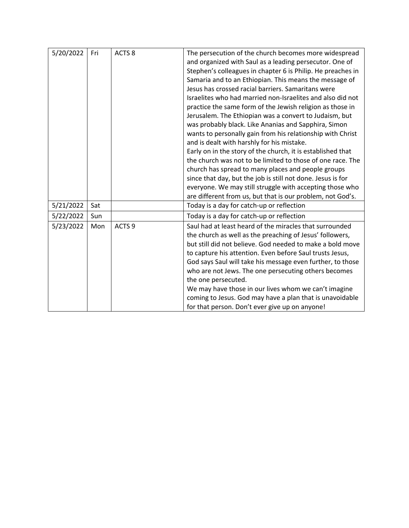| 5/20/2022 | Fri | ACTS <sub>8</sub> | The persecution of the church becomes more widespread       |
|-----------|-----|-------------------|-------------------------------------------------------------|
|           |     |                   | and organized with Saul as a leading persecutor. One of     |
|           |     |                   | Stephen's colleagues in chapter 6 is Philip. He preaches in |
|           |     |                   | Samaria and to an Ethiopian. This means the message of      |
|           |     |                   | Jesus has crossed racial barriers. Samaritans were          |
|           |     |                   |                                                             |
|           |     |                   | Israelites who had married non-Israelites and also did not  |
|           |     |                   | practice the same form of the Jewish religion as those in   |
|           |     |                   | Jerusalem. The Ethiopian was a convert to Judaism, but      |
|           |     |                   | was probably black. Like Ananias and Sapphira, Simon        |
|           |     |                   | wants to personally gain from his relationship with Christ  |
|           |     |                   | and is dealt with harshly for his mistake.                  |
|           |     |                   | Early on in the story of the church, it is established that |
|           |     |                   | the church was not to be limited to those of one race. The  |
|           |     |                   | church has spread to many places and people groups          |
|           |     |                   | since that day, but the job is still not done. Jesus is for |
|           |     |                   | everyone. We may still struggle with accepting those who    |
|           |     |                   | are different from us, but that is our problem, not God's.  |
| 5/21/2022 | Sat |                   | Today is a day for catch-up or reflection                   |
| 5/22/2022 | Sun |                   | Today is a day for catch-up or reflection                   |
| 5/23/2022 | Mon | ACTS <sub>9</sub> | Saul had at least heard of the miracles that surrounded     |
|           |     |                   | the church as well as the preaching of Jesus' followers,    |
|           |     |                   | but still did not believe. God needed to make a bold move   |
|           |     |                   | to capture his attention. Even before Saul trusts Jesus,    |
|           |     |                   | God says Saul will take his message even further, to those  |
|           |     |                   | who are not Jews. The one persecuting others becomes        |
|           |     |                   | the one persecuted.                                         |
|           |     |                   | We may have those in our lives whom we can't imagine        |
|           |     |                   | coming to Jesus. God may have a plan that is unavoidable    |
|           |     |                   | for that person. Don't ever give up on anyone!              |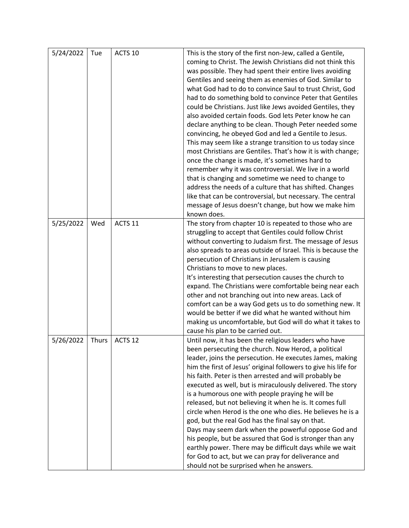| 5/24/2022 | Tue   | ACTS 10            | This is the story of the first non-Jew, called a Gentile,       |
|-----------|-------|--------------------|-----------------------------------------------------------------|
|           |       |                    | coming to Christ. The Jewish Christians did not think this      |
|           |       |                    | was possible. They had spent their entire lives avoiding        |
|           |       |                    | Gentiles and seeing them as enemies of God. Similar to          |
|           |       |                    | what God had to do to convince Saul to trust Christ, God        |
|           |       |                    | had to do something bold to convince Peter that Gentiles        |
|           |       |                    | could be Christians. Just like Jews avoided Gentiles, they      |
|           |       |                    | also avoided certain foods. God lets Peter know he can          |
|           |       |                    | declare anything to be clean. Though Peter needed some          |
|           |       |                    | convincing, he obeyed God and led a Gentile to Jesus.           |
|           |       |                    | This may seem like a strange transition to us today since       |
|           |       |                    | most Christians are Gentiles. That's how it is with change;     |
|           |       |                    | once the change is made, it's sometimes hard to                 |
|           |       |                    | remember why it was controversial. We live in a world           |
|           |       |                    | that is changing and sometime we need to change to              |
|           |       |                    | address the needs of a culture that has shifted. Changes        |
|           |       |                    | like that can be controversial, but necessary. The central      |
|           |       |                    | message of Jesus doesn't change, but how we make him            |
|           |       |                    | known does.                                                     |
| 5/25/2022 | Wed   | ACTS 11            | The story from chapter 10 is repeated to those who are          |
|           |       |                    | struggling to accept that Gentiles could follow Christ          |
|           |       |                    | without converting to Judaism first. The message of Jesus       |
|           |       |                    | also spreads to areas outside of Israel. This is because the    |
|           |       |                    | persecution of Christians in Jerusalem is causing               |
|           |       |                    | Christians to move to new places.                               |
|           |       |                    | It's interesting that persecution causes the church to          |
|           |       |                    | expand. The Christians were comfortable being near each         |
|           |       |                    | other and not branching out into new areas. Lack of             |
|           |       |                    | comfort can be a way God gets us to do something new. It        |
|           |       |                    | would be better if we did what he wanted without him            |
|           |       |                    | making us uncomfortable, but God will do what it takes to       |
|           |       |                    | cause his plan to be carried out.                               |
| 5/26/2022 | Thurs | ACTS <sub>12</sub> | Until now, it has been the religious leaders who have           |
|           |       |                    | been persecuting the church. Now Herod, a political             |
|           |       |                    | leader, joins the persecution. He executes James, making        |
|           |       |                    | him the first of Jesus' original followers to give his life for |
|           |       |                    | his faith. Peter is then arrested and will probably be          |
|           |       |                    | executed as well, but is miraculously delivered. The story      |
|           |       |                    | is a humorous one with people praying he will be                |
|           |       |                    | released, but not believing it when he is. It comes full        |
|           |       |                    | circle when Herod is the one who dies. He believes he is a      |
|           |       |                    | god, but the real God has the final say on that.                |
|           |       |                    | Days may seem dark when the powerful oppose God and             |
|           |       |                    | his people, but be assured that God is stronger than any        |
|           |       |                    | earthly power. There may be difficult days while we wait        |
|           |       |                    | for God to act, but we can pray for deliverance and             |
|           |       |                    | should not be surprised when he answers.                        |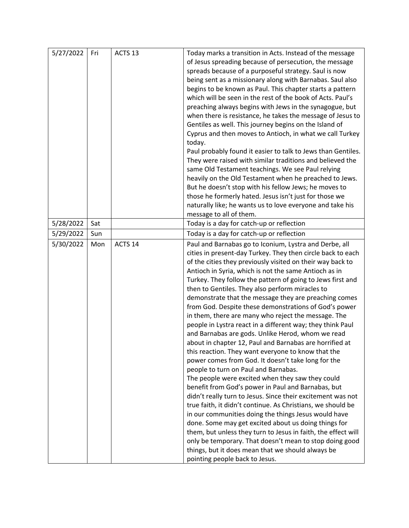| 5/27/2022 | Fri | ACTS <sub>13</sub> | Today marks a transition in Acts. Instead of the message      |
|-----------|-----|--------------------|---------------------------------------------------------------|
|           |     |                    | of Jesus spreading because of persecution, the message        |
|           |     |                    | spreads because of a purposeful strategy. Saul is now         |
|           |     |                    | being sent as a missionary along with Barnabas. Saul also     |
|           |     |                    | begins to be known as Paul. This chapter starts a pattern     |
|           |     |                    | which will be seen in the rest of the book of Acts. Paul's    |
|           |     |                    | preaching always begins with Jews in the synagogue, but       |
|           |     |                    | when there is resistance, he takes the message of Jesus to    |
|           |     |                    | Gentiles as well. This journey begins on the Island of        |
|           |     |                    | Cyprus and then moves to Antioch, in what we call Turkey      |
|           |     |                    | today.                                                        |
|           |     |                    | Paul probably found it easier to talk to Jews than Gentiles.  |
|           |     |                    | They were raised with similar traditions and believed the     |
|           |     |                    | same Old Testament teachings. We see Paul relying             |
|           |     |                    | heavily on the Old Testament when he preached to Jews.        |
|           |     |                    | But he doesn't stop with his fellow Jews; he moves to         |
|           |     |                    | those he formerly hated. Jesus isn't just for those we        |
|           |     |                    | naturally like; he wants us to love everyone and take his     |
|           |     |                    | message to all of them.                                       |
| 5/28/2022 | Sat |                    | Today is a day for catch-up or reflection                     |
| 5/29/2022 | Sun |                    | Today is a day for catch-up or reflection                     |
| 5/30/2022 | Mon | ACTS 14            | Paul and Barnabas go to Iconium, Lystra and Derbe, all        |
|           |     |                    | cities in present-day Turkey. They then circle back to each   |
|           |     |                    | of the cities they previously visited on their way back to    |
|           |     |                    | Antioch in Syria, which is not the same Antioch as in         |
|           |     |                    | Turkey. They follow the pattern of going to Jews first and    |
|           |     |                    | then to Gentiles. They also perform miracles to               |
|           |     |                    | demonstrate that the message they are preaching comes         |
|           |     |                    | from God. Despite these demonstrations of God's power         |
|           |     |                    | in them, there are many who reject the message. The           |
|           |     |                    | people in Lystra react in a different way; they think Paul    |
|           |     |                    | and Barnabas are gods. Unlike Herod, whom we read             |
|           |     |                    | about in chapter 12, Paul and Barnabas are horrified at       |
|           |     |                    | this reaction. They want everyone to know that the            |
|           |     |                    | power comes from God. It doesn't take long for the            |
|           |     |                    | people to turn on Paul and Barnabas.                          |
|           |     |                    | The people were excited when they saw they could              |
|           |     |                    | benefit from God's power in Paul and Barnabas, but            |
|           |     |                    | didn't really turn to Jesus. Since their excitement was not   |
|           |     |                    | true faith, it didn't continue. As Christians, we should be   |
|           |     |                    | in our communities doing the things Jesus would have          |
|           |     |                    | done. Some may get excited about us doing things for          |
|           |     |                    | them, but unless they turn to Jesus in faith, the effect will |
|           |     |                    | only be temporary. That doesn't mean to stop doing good       |
|           |     |                    | things, but it does mean that we should always be             |
|           |     |                    | pointing people back to Jesus.                                |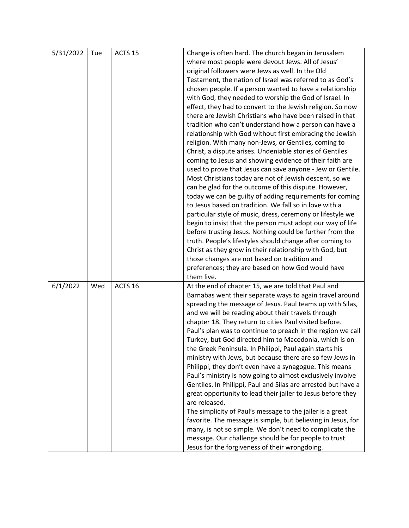| 5/31/2022 | Tue | ACTS <sub>15</sub> | Change is often hard. The church began in Jerusalem<br>where most people were devout Jews. All of Jesus'<br>original followers were Jews as well. In the Old<br>Testament, the nation of Israel was referred to as God's<br>chosen people. If a person wanted to have a relationship<br>with God, they needed to worship the God of Israel. In<br>effect, they had to convert to the Jewish religion. So now<br>there are Jewish Christians who have been raised in that<br>tradition who can't understand how a person can have a<br>relationship with God without first embracing the Jewish<br>religion. With many non-Jews, or Gentiles, coming to<br>Christ, a dispute arises. Undeniable stories of Gentiles<br>coming to Jesus and showing evidence of their faith are<br>used to prove that Jesus can save anyone - Jew or Gentile.<br>Most Christians today are not of Jewish descent, so we<br>can be glad for the outcome of this dispute. However,<br>today we can be guilty of adding requirements for coming<br>to Jesus based on tradition. We fall so in love with a<br>particular style of music, dress, ceremony or lifestyle we |
|-----------|-----|--------------------|----------------------------------------------------------------------------------------------------------------------------------------------------------------------------------------------------------------------------------------------------------------------------------------------------------------------------------------------------------------------------------------------------------------------------------------------------------------------------------------------------------------------------------------------------------------------------------------------------------------------------------------------------------------------------------------------------------------------------------------------------------------------------------------------------------------------------------------------------------------------------------------------------------------------------------------------------------------------------------------------------------------------------------------------------------------------------------------------------------------------------------------------------|
|           |     |                    | begin to insist that the person must adopt our way of life<br>before trusting Jesus. Nothing could be further from the<br>truth. People's lifestyles should change after coming to<br>Christ as they grow in their relationship with God, but<br>those changes are not based on tradition and<br>preferences; they are based on how God would have                                                                                                                                                                                                                                                                                                                                                                                                                                                                                                                                                                                                                                                                                                                                                                                                 |
|           |     |                    | them live.                                                                                                                                                                                                                                                                                                                                                                                                                                                                                                                                                                                                                                                                                                                                                                                                                                                                                                                                                                                                                                                                                                                                         |
| 6/1/2022  | Wed | ACTS <sub>16</sub> | At the end of chapter 15, we are told that Paul and<br>Barnabas went their separate ways to again travel around<br>spreading the message of Jesus. Paul teams up with Silas,<br>and we will be reading about their travels through<br>chapter 18. They return to cities Paul visited before.<br>Paul's plan was to continue to preach in the region we call<br>Turkey, but God directed him to Macedonia, which is on<br>the Greek Peninsula. In Philippi, Paul again starts his<br>ministry with Jews, but because there are so few Jews in<br>Philippi, they don't even have a synagogue. This means<br>Paul's ministry is now going to almost exclusively involve<br>Gentiles. In Philippi, Paul and Silas are arrested but have a<br>great opportunity to lead their jailer to Jesus before they<br>are released.<br>The simplicity of Paul's message to the jailer is a great<br>favorite. The message is simple, but believing in Jesus, for<br>many, is not so simple. We don't need to complicate the<br>message. Our challenge should be for people to trust<br>Jesus for the forgiveness of their wrongdoing.                            |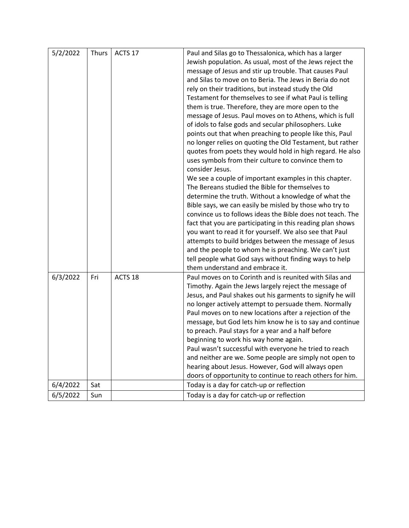| 5/2/2022 | <b>Thurs</b> | ACTS 17            | Paul and Silas go to Thessalonica, which has a larger<br>Jewish population. As usual, most of the Jews reject the<br>message of Jesus and stir up trouble. That causes Paul<br>and Silas to move on to Beria. The Jews in Beria do not<br>rely on their traditions, but instead study the Old<br>Testament for themselves to see if what Paul is telling<br>them is true. Therefore, they are more open to the<br>message of Jesus. Paul moves on to Athens, which is full<br>of idols to false gods and secular philosophers. Luke<br>points out that when preaching to people like this, Paul<br>no longer relies on quoting the Old Testament, but rather<br>quotes from poets they would hold in high regard. He also<br>uses symbols from their culture to convince them to<br>consider Jesus.<br>We see a couple of important examples in this chapter.<br>The Bereans studied the Bible for themselves to<br>determine the truth. Without a knowledge of what the<br>Bible says, we can easily be misled by those who try to<br>convince us to follows ideas the Bible does not teach. The<br>fact that you are participating in this reading plan shows<br>you want to read it for yourself. We also see that Paul<br>attempts to build bridges between the message of Jesus<br>and the people to whom he is preaching. We can't just<br>tell people what God says without finding ways to help<br>them understand and embrace it. |
|----------|--------------|--------------------|--------------------------------------------------------------------------------------------------------------------------------------------------------------------------------------------------------------------------------------------------------------------------------------------------------------------------------------------------------------------------------------------------------------------------------------------------------------------------------------------------------------------------------------------------------------------------------------------------------------------------------------------------------------------------------------------------------------------------------------------------------------------------------------------------------------------------------------------------------------------------------------------------------------------------------------------------------------------------------------------------------------------------------------------------------------------------------------------------------------------------------------------------------------------------------------------------------------------------------------------------------------------------------------------------------------------------------------------------------------------------------------------------------------------------------------------|
| 6/3/2022 | Fri          | ACTS <sub>18</sub> | Paul moves on to Corinth and is reunited with Silas and<br>Timothy. Again the Jews largely reject the message of<br>Jesus, and Paul shakes out his garments to signify he will<br>no longer actively attempt to persuade them. Normally<br>Paul moves on to new locations after a rejection of the<br>message, but God lets him know he is to say and continue<br>to preach. Paul stays for a year and a half before<br>beginning to work his way home again.<br>Paul wasn't successful with everyone he tried to reach<br>and neither are we. Some people are simply not open to<br>hearing about Jesus. However, God will always open<br>doors of opportunity to continue to reach others for him.                                                                                                                                                                                                                                                                                                                                                                                                                                                                                                                                                                                                                                                                                                                                       |
| 6/4/2022 | Sat          |                    | Today is a day for catch-up or reflection                                                                                                                                                                                                                                                                                                                                                                                                                                                                                                                                                                                                                                                                                                                                                                                                                                                                                                                                                                                                                                                                                                                                                                                                                                                                                                                                                                                                  |
| 6/5/2022 | Sun          |                    | Today is a day for catch-up or reflection                                                                                                                                                                                                                                                                                                                                                                                                                                                                                                                                                                                                                                                                                                                                                                                                                                                                                                                                                                                                                                                                                                                                                                                                                                                                                                                                                                                                  |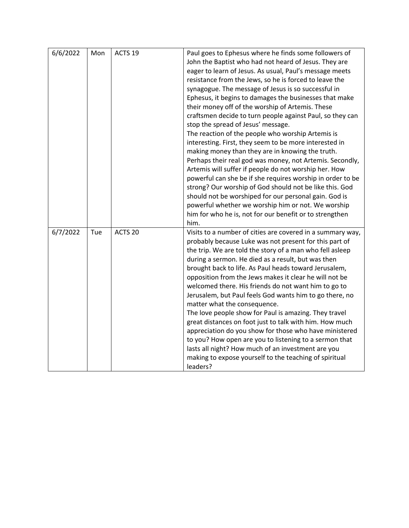| 6/6/2022 | Mon | ACTS <sub>19</sub> | Paul goes to Ephesus where he finds some followers of      |
|----------|-----|--------------------|------------------------------------------------------------|
|          |     |                    | John the Baptist who had not heard of Jesus. They are      |
|          |     |                    | eager to learn of Jesus. As usual, Paul's message meets    |
|          |     |                    |                                                            |
|          |     |                    | resistance from the Jews, so he is forced to leave the     |
|          |     |                    | synagogue. The message of Jesus is so successful in        |
|          |     |                    | Ephesus, it begins to damages the businesses that make     |
|          |     |                    | their money off of the worship of Artemis. These           |
|          |     |                    | craftsmen decide to turn people against Paul, so they can  |
|          |     |                    | stop the spread of Jesus' message.                         |
|          |     |                    | The reaction of the people who worship Artemis is          |
|          |     |                    | interesting. First, they seem to be more interested in     |
|          |     |                    | making money than they are in knowing the truth.           |
|          |     |                    | Perhaps their real god was money, not Artemis. Secondly,   |
|          |     |                    | Artemis will suffer if people do not worship her. How      |
|          |     |                    | powerful can she be if she requires worship in order to be |
|          |     |                    | strong? Our worship of God should not be like this. God    |
|          |     |                    | should not be worshiped for our personal gain. God is      |
|          |     |                    | powerful whether we worship him or not. We worship         |
|          |     |                    |                                                            |
|          |     |                    | him for who he is, not for our benefit or to strengthen    |
|          |     |                    | him.                                                       |
| 6/7/2022 | Tue | ACTS <sub>20</sub> | Visits to a number of cities are covered in a summary way, |
|          |     |                    | probably because Luke was not present for this part of     |
|          |     |                    | the trip. We are told the story of a man who fell asleep   |
|          |     |                    | during a sermon. He died as a result, but was then         |
|          |     |                    | brought back to life. As Paul heads toward Jerusalem,      |
|          |     |                    | opposition from the Jews makes it clear he will not be     |
|          |     |                    | welcomed there. His friends do not want him to go to       |
|          |     |                    | Jerusalem, but Paul feels God wants him to go there, no    |
|          |     |                    | matter what the consequence.                               |
|          |     |                    | The love people show for Paul is amazing. They travel      |
|          |     |                    | great distances on foot just to talk with him. How much    |
|          |     |                    | appreciation do you show for those who have ministered     |
|          |     |                    | to you? How open are you to listening to a sermon that     |
|          |     |                    | lasts all night? How much of an investment are you         |
|          |     |                    |                                                            |
|          |     |                    | making to expose yourself to the teaching of spiritual     |
|          |     |                    | leaders?                                                   |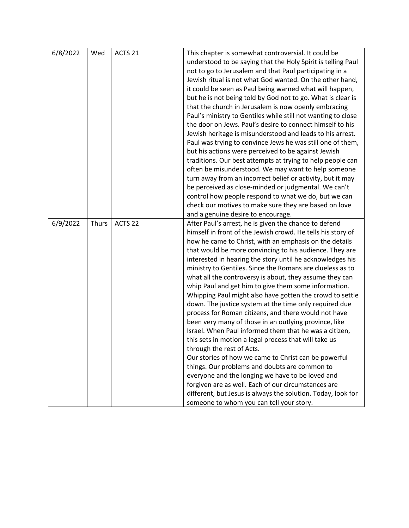| 6/8/2022 | Wed          | ACTS 21            | This chapter is somewhat controversial. It could be<br>understood to be saying that the Holy Spirit is telling Paul<br>not to go to Jerusalem and that Paul participating in a<br>Jewish ritual is not what God wanted. On the other hand,<br>it could be seen as Paul being warned what will happen,<br>but he is not being told by God not to go. What is clear is<br>that the church in Jerusalem is now openly embracing<br>Paul's ministry to Gentiles while still not wanting to close<br>the door on Jews. Paul's desire to connect himself to his<br>Jewish heritage is misunderstood and leads to his arrest.<br>Paul was trying to convince Jews he was still one of them,<br>but his actions were perceived to be against Jewish<br>traditions. Our best attempts at trying to help people can<br>often be misunderstood. We may want to help someone<br>turn away from an incorrect belief or activity, but it may<br>be perceived as close-minded or judgmental. We can't<br>control how people respond to what we do, but we can<br>check our motives to make sure they are based on love<br>and a genuine desire to encourage.                                                                 |
|----------|--------------|--------------------|---------------------------------------------------------------------------------------------------------------------------------------------------------------------------------------------------------------------------------------------------------------------------------------------------------------------------------------------------------------------------------------------------------------------------------------------------------------------------------------------------------------------------------------------------------------------------------------------------------------------------------------------------------------------------------------------------------------------------------------------------------------------------------------------------------------------------------------------------------------------------------------------------------------------------------------------------------------------------------------------------------------------------------------------------------------------------------------------------------------------------------------------------------------------------------------------------------------|
| 6/9/2022 | <b>Thurs</b> | ACTS <sub>22</sub> | After Paul's arrest, he is given the chance to defend<br>himself in front of the Jewish crowd. He tells his story of<br>how he came to Christ, with an emphasis on the details<br>that would be more convincing to his audience. They are<br>interested in hearing the story until he acknowledges his<br>ministry to Gentiles. Since the Romans are clueless as to<br>what all the controversy is about, they assume they can<br>whip Paul and get him to give them some information.<br>Whipping Paul might also have gotten the crowd to settle<br>down. The justice system at the time only required due<br>process for Roman citizens, and there would not have<br>been very many of those in an outlying province, like<br>Israel. When Paul informed them that he was a citizen,<br>this sets in motion a legal process that will take us<br>through the rest of Acts.<br>Our stories of how we came to Christ can be powerful<br>things. Our problems and doubts are common to<br>everyone and the longing we have to be loved and<br>forgiven are as well. Each of our circumstances are<br>different, but Jesus is always the solution. Today, look for<br>someone to whom you can tell your story. |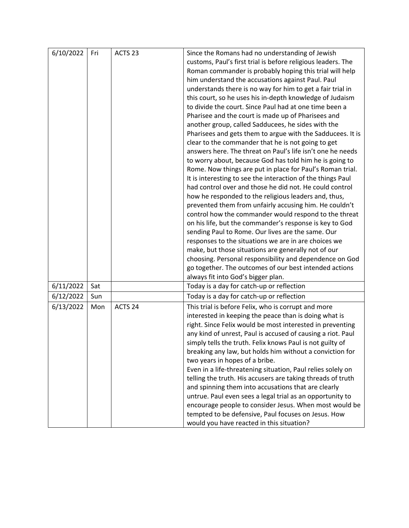| customs, Paul's first trial is before religious leaders. The<br>Roman commander is probably hoping this trial will help<br>him understand the accusations against Paul. Paul<br>understands there is no way for him to get a fair trial in<br>this court, so he uses his in-depth knowledge of Judaism<br>to divide the court. Since Paul had at one time been a<br>Pharisee and the court is made up of Pharisees and<br>another group, called Sadducees, he sides with the<br>Pharisees and gets them to argue with the Sadducees. It is<br>clear to the commander that he is not going to get<br>answers here. The threat on Paul's life isn't one he needs<br>to worry about, because God has told him he is going to<br>Rome. Now things are put in place for Paul's Roman trial.<br>It is interesting to see the interaction of the things Paul<br>had control over and those he did not. He could control<br>how he responded to the religious leaders and, thus,<br>prevented them from unfairly accusing him. He couldn't<br>control how the commander would respond to the threat<br>on his life, but the commander's response is key to God<br>sending Paul to Rome. Our lives are the same. Our<br>responses to the situations we are in are choices we<br>make, but those situations are generally not of our<br>choosing. Personal responsibility and dependence on God<br>go together. The outcomes of our best intended actions<br>always fit into God's bigger plan.<br>6/11/2022<br>Sat<br>Today is a day for catch-up or reflection<br>6/12/2022<br>Today is a day for catch-up or reflection<br>Sun<br>6/13/2022<br>Mon<br>ACTS 24<br>This trial is before Felix, who is corrupt and more<br>interested in keeping the peace than is doing what is<br>right. Since Felix would be most interested in preventing<br>any kind of unrest, Paul is accused of causing a riot. Paul<br>simply tells the truth. Felix knows Paul is not guilty of | 6/10/2022 | Fri | ACTS <sub>23</sub> | Since the Romans had no understanding of Jewish          |
|-----------------------------------------------------------------------------------------------------------------------------------------------------------------------------------------------------------------------------------------------------------------------------------------------------------------------------------------------------------------------------------------------------------------------------------------------------------------------------------------------------------------------------------------------------------------------------------------------------------------------------------------------------------------------------------------------------------------------------------------------------------------------------------------------------------------------------------------------------------------------------------------------------------------------------------------------------------------------------------------------------------------------------------------------------------------------------------------------------------------------------------------------------------------------------------------------------------------------------------------------------------------------------------------------------------------------------------------------------------------------------------------------------------------------------------------------------------------------------------------------------------------------------------------------------------------------------------------------------------------------------------------------------------------------------------------------------------------------------------------------------------------------------------------------------------------------------------------------------------------------------------------------------------------------------------------------------------------|-----------|-----|--------------------|----------------------------------------------------------|
|                                                                                                                                                                                                                                                                                                                                                                                                                                                                                                                                                                                                                                                                                                                                                                                                                                                                                                                                                                                                                                                                                                                                                                                                                                                                                                                                                                                                                                                                                                                                                                                                                                                                                                                                                                                                                                                                                                                                                                 |           |     |                    |                                                          |
|                                                                                                                                                                                                                                                                                                                                                                                                                                                                                                                                                                                                                                                                                                                                                                                                                                                                                                                                                                                                                                                                                                                                                                                                                                                                                                                                                                                                                                                                                                                                                                                                                                                                                                                                                                                                                                                                                                                                                                 |           |     |                    |                                                          |
|                                                                                                                                                                                                                                                                                                                                                                                                                                                                                                                                                                                                                                                                                                                                                                                                                                                                                                                                                                                                                                                                                                                                                                                                                                                                                                                                                                                                                                                                                                                                                                                                                                                                                                                                                                                                                                                                                                                                                                 |           |     |                    |                                                          |
|                                                                                                                                                                                                                                                                                                                                                                                                                                                                                                                                                                                                                                                                                                                                                                                                                                                                                                                                                                                                                                                                                                                                                                                                                                                                                                                                                                                                                                                                                                                                                                                                                                                                                                                                                                                                                                                                                                                                                                 |           |     |                    |                                                          |
|                                                                                                                                                                                                                                                                                                                                                                                                                                                                                                                                                                                                                                                                                                                                                                                                                                                                                                                                                                                                                                                                                                                                                                                                                                                                                                                                                                                                                                                                                                                                                                                                                                                                                                                                                                                                                                                                                                                                                                 |           |     |                    |                                                          |
|                                                                                                                                                                                                                                                                                                                                                                                                                                                                                                                                                                                                                                                                                                                                                                                                                                                                                                                                                                                                                                                                                                                                                                                                                                                                                                                                                                                                                                                                                                                                                                                                                                                                                                                                                                                                                                                                                                                                                                 |           |     |                    |                                                          |
|                                                                                                                                                                                                                                                                                                                                                                                                                                                                                                                                                                                                                                                                                                                                                                                                                                                                                                                                                                                                                                                                                                                                                                                                                                                                                                                                                                                                                                                                                                                                                                                                                                                                                                                                                                                                                                                                                                                                                                 |           |     |                    |                                                          |
|                                                                                                                                                                                                                                                                                                                                                                                                                                                                                                                                                                                                                                                                                                                                                                                                                                                                                                                                                                                                                                                                                                                                                                                                                                                                                                                                                                                                                                                                                                                                                                                                                                                                                                                                                                                                                                                                                                                                                                 |           |     |                    |                                                          |
|                                                                                                                                                                                                                                                                                                                                                                                                                                                                                                                                                                                                                                                                                                                                                                                                                                                                                                                                                                                                                                                                                                                                                                                                                                                                                                                                                                                                                                                                                                                                                                                                                                                                                                                                                                                                                                                                                                                                                                 |           |     |                    |                                                          |
|                                                                                                                                                                                                                                                                                                                                                                                                                                                                                                                                                                                                                                                                                                                                                                                                                                                                                                                                                                                                                                                                                                                                                                                                                                                                                                                                                                                                                                                                                                                                                                                                                                                                                                                                                                                                                                                                                                                                                                 |           |     |                    |                                                          |
|                                                                                                                                                                                                                                                                                                                                                                                                                                                                                                                                                                                                                                                                                                                                                                                                                                                                                                                                                                                                                                                                                                                                                                                                                                                                                                                                                                                                                                                                                                                                                                                                                                                                                                                                                                                                                                                                                                                                                                 |           |     |                    |                                                          |
|                                                                                                                                                                                                                                                                                                                                                                                                                                                                                                                                                                                                                                                                                                                                                                                                                                                                                                                                                                                                                                                                                                                                                                                                                                                                                                                                                                                                                                                                                                                                                                                                                                                                                                                                                                                                                                                                                                                                                                 |           |     |                    |                                                          |
|                                                                                                                                                                                                                                                                                                                                                                                                                                                                                                                                                                                                                                                                                                                                                                                                                                                                                                                                                                                                                                                                                                                                                                                                                                                                                                                                                                                                                                                                                                                                                                                                                                                                                                                                                                                                                                                                                                                                                                 |           |     |                    |                                                          |
|                                                                                                                                                                                                                                                                                                                                                                                                                                                                                                                                                                                                                                                                                                                                                                                                                                                                                                                                                                                                                                                                                                                                                                                                                                                                                                                                                                                                                                                                                                                                                                                                                                                                                                                                                                                                                                                                                                                                                                 |           |     |                    |                                                          |
|                                                                                                                                                                                                                                                                                                                                                                                                                                                                                                                                                                                                                                                                                                                                                                                                                                                                                                                                                                                                                                                                                                                                                                                                                                                                                                                                                                                                                                                                                                                                                                                                                                                                                                                                                                                                                                                                                                                                                                 |           |     |                    |                                                          |
|                                                                                                                                                                                                                                                                                                                                                                                                                                                                                                                                                                                                                                                                                                                                                                                                                                                                                                                                                                                                                                                                                                                                                                                                                                                                                                                                                                                                                                                                                                                                                                                                                                                                                                                                                                                                                                                                                                                                                                 |           |     |                    |                                                          |
|                                                                                                                                                                                                                                                                                                                                                                                                                                                                                                                                                                                                                                                                                                                                                                                                                                                                                                                                                                                                                                                                                                                                                                                                                                                                                                                                                                                                                                                                                                                                                                                                                                                                                                                                                                                                                                                                                                                                                                 |           |     |                    |                                                          |
|                                                                                                                                                                                                                                                                                                                                                                                                                                                                                                                                                                                                                                                                                                                                                                                                                                                                                                                                                                                                                                                                                                                                                                                                                                                                                                                                                                                                                                                                                                                                                                                                                                                                                                                                                                                                                                                                                                                                                                 |           |     |                    |                                                          |
|                                                                                                                                                                                                                                                                                                                                                                                                                                                                                                                                                                                                                                                                                                                                                                                                                                                                                                                                                                                                                                                                                                                                                                                                                                                                                                                                                                                                                                                                                                                                                                                                                                                                                                                                                                                                                                                                                                                                                                 |           |     |                    |                                                          |
|                                                                                                                                                                                                                                                                                                                                                                                                                                                                                                                                                                                                                                                                                                                                                                                                                                                                                                                                                                                                                                                                                                                                                                                                                                                                                                                                                                                                                                                                                                                                                                                                                                                                                                                                                                                                                                                                                                                                                                 |           |     |                    |                                                          |
|                                                                                                                                                                                                                                                                                                                                                                                                                                                                                                                                                                                                                                                                                                                                                                                                                                                                                                                                                                                                                                                                                                                                                                                                                                                                                                                                                                                                                                                                                                                                                                                                                                                                                                                                                                                                                                                                                                                                                                 |           |     |                    |                                                          |
|                                                                                                                                                                                                                                                                                                                                                                                                                                                                                                                                                                                                                                                                                                                                                                                                                                                                                                                                                                                                                                                                                                                                                                                                                                                                                                                                                                                                                                                                                                                                                                                                                                                                                                                                                                                                                                                                                                                                                                 |           |     |                    |                                                          |
|                                                                                                                                                                                                                                                                                                                                                                                                                                                                                                                                                                                                                                                                                                                                                                                                                                                                                                                                                                                                                                                                                                                                                                                                                                                                                                                                                                                                                                                                                                                                                                                                                                                                                                                                                                                                                                                                                                                                                                 |           |     |                    |                                                          |
|                                                                                                                                                                                                                                                                                                                                                                                                                                                                                                                                                                                                                                                                                                                                                                                                                                                                                                                                                                                                                                                                                                                                                                                                                                                                                                                                                                                                                                                                                                                                                                                                                                                                                                                                                                                                                                                                                                                                                                 |           |     |                    |                                                          |
|                                                                                                                                                                                                                                                                                                                                                                                                                                                                                                                                                                                                                                                                                                                                                                                                                                                                                                                                                                                                                                                                                                                                                                                                                                                                                                                                                                                                                                                                                                                                                                                                                                                                                                                                                                                                                                                                                                                                                                 |           |     |                    |                                                          |
|                                                                                                                                                                                                                                                                                                                                                                                                                                                                                                                                                                                                                                                                                                                                                                                                                                                                                                                                                                                                                                                                                                                                                                                                                                                                                                                                                                                                                                                                                                                                                                                                                                                                                                                                                                                                                                                                                                                                                                 |           |     |                    |                                                          |
|                                                                                                                                                                                                                                                                                                                                                                                                                                                                                                                                                                                                                                                                                                                                                                                                                                                                                                                                                                                                                                                                                                                                                                                                                                                                                                                                                                                                                                                                                                                                                                                                                                                                                                                                                                                                                                                                                                                                                                 |           |     |                    |                                                          |
|                                                                                                                                                                                                                                                                                                                                                                                                                                                                                                                                                                                                                                                                                                                                                                                                                                                                                                                                                                                                                                                                                                                                                                                                                                                                                                                                                                                                                                                                                                                                                                                                                                                                                                                                                                                                                                                                                                                                                                 |           |     |                    |                                                          |
|                                                                                                                                                                                                                                                                                                                                                                                                                                                                                                                                                                                                                                                                                                                                                                                                                                                                                                                                                                                                                                                                                                                                                                                                                                                                                                                                                                                                                                                                                                                                                                                                                                                                                                                                                                                                                                                                                                                                                                 |           |     |                    |                                                          |
|                                                                                                                                                                                                                                                                                                                                                                                                                                                                                                                                                                                                                                                                                                                                                                                                                                                                                                                                                                                                                                                                                                                                                                                                                                                                                                                                                                                                                                                                                                                                                                                                                                                                                                                                                                                                                                                                                                                                                                 |           |     |                    |                                                          |
|                                                                                                                                                                                                                                                                                                                                                                                                                                                                                                                                                                                                                                                                                                                                                                                                                                                                                                                                                                                                                                                                                                                                                                                                                                                                                                                                                                                                                                                                                                                                                                                                                                                                                                                                                                                                                                                                                                                                                                 |           |     |                    |                                                          |
|                                                                                                                                                                                                                                                                                                                                                                                                                                                                                                                                                                                                                                                                                                                                                                                                                                                                                                                                                                                                                                                                                                                                                                                                                                                                                                                                                                                                                                                                                                                                                                                                                                                                                                                                                                                                                                                                                                                                                                 |           |     |                    |                                                          |
|                                                                                                                                                                                                                                                                                                                                                                                                                                                                                                                                                                                                                                                                                                                                                                                                                                                                                                                                                                                                                                                                                                                                                                                                                                                                                                                                                                                                                                                                                                                                                                                                                                                                                                                                                                                                                                                                                                                                                                 |           |     |                    |                                                          |
|                                                                                                                                                                                                                                                                                                                                                                                                                                                                                                                                                                                                                                                                                                                                                                                                                                                                                                                                                                                                                                                                                                                                                                                                                                                                                                                                                                                                                                                                                                                                                                                                                                                                                                                                                                                                                                                                                                                                                                 |           |     |                    |                                                          |
|                                                                                                                                                                                                                                                                                                                                                                                                                                                                                                                                                                                                                                                                                                                                                                                                                                                                                                                                                                                                                                                                                                                                                                                                                                                                                                                                                                                                                                                                                                                                                                                                                                                                                                                                                                                                                                                                                                                                                                 |           |     |                    | breaking any law, but holds him without a conviction for |
| two years in hopes of a bribe.                                                                                                                                                                                                                                                                                                                                                                                                                                                                                                                                                                                                                                                                                                                                                                                                                                                                                                                                                                                                                                                                                                                                                                                                                                                                                                                                                                                                                                                                                                                                                                                                                                                                                                                                                                                                                                                                                                                                  |           |     |                    |                                                          |
| Even in a life-threatening situation, Paul relies solely on                                                                                                                                                                                                                                                                                                                                                                                                                                                                                                                                                                                                                                                                                                                                                                                                                                                                                                                                                                                                                                                                                                                                                                                                                                                                                                                                                                                                                                                                                                                                                                                                                                                                                                                                                                                                                                                                                                     |           |     |                    |                                                          |
| telling the truth. His accusers are taking threads of truth                                                                                                                                                                                                                                                                                                                                                                                                                                                                                                                                                                                                                                                                                                                                                                                                                                                                                                                                                                                                                                                                                                                                                                                                                                                                                                                                                                                                                                                                                                                                                                                                                                                                                                                                                                                                                                                                                                     |           |     |                    |                                                          |
| and spinning them into accusations that are clearly                                                                                                                                                                                                                                                                                                                                                                                                                                                                                                                                                                                                                                                                                                                                                                                                                                                                                                                                                                                                                                                                                                                                                                                                                                                                                                                                                                                                                                                                                                                                                                                                                                                                                                                                                                                                                                                                                                             |           |     |                    |                                                          |
| untrue. Paul even sees a legal trial as an opportunity to                                                                                                                                                                                                                                                                                                                                                                                                                                                                                                                                                                                                                                                                                                                                                                                                                                                                                                                                                                                                                                                                                                                                                                                                                                                                                                                                                                                                                                                                                                                                                                                                                                                                                                                                                                                                                                                                                                       |           |     |                    |                                                          |
| encourage people to consider Jesus. When most would be                                                                                                                                                                                                                                                                                                                                                                                                                                                                                                                                                                                                                                                                                                                                                                                                                                                                                                                                                                                                                                                                                                                                                                                                                                                                                                                                                                                                                                                                                                                                                                                                                                                                                                                                                                                                                                                                                                          |           |     |                    |                                                          |
| tempted to be defensive, Paul focuses on Jesus. How                                                                                                                                                                                                                                                                                                                                                                                                                                                                                                                                                                                                                                                                                                                                                                                                                                                                                                                                                                                                                                                                                                                                                                                                                                                                                                                                                                                                                                                                                                                                                                                                                                                                                                                                                                                                                                                                                                             |           |     |                    |                                                          |
| would you have reacted in this situation?                                                                                                                                                                                                                                                                                                                                                                                                                                                                                                                                                                                                                                                                                                                                                                                                                                                                                                                                                                                                                                                                                                                                                                                                                                                                                                                                                                                                                                                                                                                                                                                                                                                                                                                                                                                                                                                                                                                       |           |     |                    |                                                          |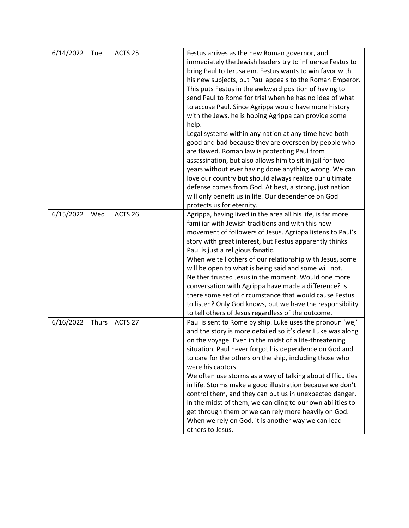| 6/14/2022 | Tue          | ACTS <sub>25</sub> | Festus arrives as the new Roman governor, and               |
|-----------|--------------|--------------------|-------------------------------------------------------------|
|           |              |                    | immediately the Jewish leaders try to influence Festus to   |
|           |              |                    | bring Paul to Jerusalem. Festus wants to win favor with     |
|           |              |                    | his new subjects, but Paul appeals to the Roman Emperor.    |
|           |              |                    | This puts Festus in the awkward position of having to       |
|           |              |                    | send Paul to Rome for trial when he has no idea of what     |
|           |              |                    | to accuse Paul. Since Agrippa would have more history       |
|           |              |                    | with the Jews, he is hoping Agrippa can provide some        |
|           |              |                    | help.                                                       |
|           |              |                    | Legal systems within any nation at any time have both       |
|           |              |                    | good and bad because they are overseen by people who        |
|           |              |                    | are flawed. Roman law is protecting Paul from               |
|           |              |                    | assassination, but also allows him to sit in jail for two   |
|           |              |                    | years without ever having done anything wrong. We can       |
|           |              |                    | love our country but should always realize our ultimate     |
|           |              |                    | defense comes from God. At best, a strong, just nation      |
|           |              |                    | will only benefit us in life. Our dependence on God         |
|           |              |                    | protects us for eternity.                                   |
| 6/15/2022 | Wed          | ACTS <sub>26</sub> | Agrippa, having lived in the area all his life, is far more |
|           |              |                    | familiar with Jewish traditions and with this new           |
|           |              |                    | movement of followers of Jesus. Agrippa listens to Paul's   |
|           |              |                    | story with great interest, but Festus apparently thinks     |
|           |              |                    | Paul is just a religious fanatic.                           |
|           |              |                    | When we tell others of our relationship with Jesus, some    |
|           |              |                    | will be open to what is being said and some will not.       |
|           |              |                    | Neither trusted Jesus in the moment. Would one more         |
|           |              |                    | conversation with Agrippa have made a difference? Is        |
|           |              |                    | there some set of circumstance that would cause Festus      |
|           |              |                    | to listen? Only God knows, but we have the responsibility   |
|           |              |                    | to tell others of Jesus regardless of the outcome.          |
| 6/16/2022 | <b>Thurs</b> | ACTS 27            | Paul is sent to Rome by ship. Luke uses the pronoun 'we,'   |
|           |              |                    | and the story is more detailed so it's clear Luke was along |
|           |              |                    | on the voyage. Even in the midst of a life-threatening      |
|           |              |                    | situation, Paul never forgot his dependence on God and      |
|           |              |                    | to care for the others on the ship, including those who     |
|           |              |                    | were his captors.                                           |
|           |              |                    | We often use storms as a way of talking about difficulties  |
|           |              |                    | in life. Storms make a good illustration because we don't   |
|           |              |                    | control them, and they can put us in unexpected danger.     |
|           |              |                    | In the midst of them, we can cling to our own abilities to  |
|           |              |                    | get through them or we can rely more heavily on God.        |
|           |              |                    | When we rely on God, it is another way we can lead          |
|           |              |                    | others to Jesus.                                            |
|           |              |                    |                                                             |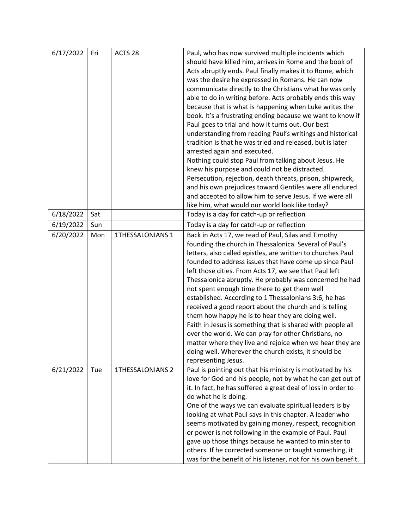| 6/17/2022 | Fri | ACTS <sub>28</sub>      | Paul, who has now survived multiple incidents which                                                                |
|-----------|-----|-------------------------|--------------------------------------------------------------------------------------------------------------------|
|           |     |                         | should have killed him, arrives in Rome and the book of                                                            |
|           |     |                         | Acts abruptly ends. Paul finally makes it to Rome, which                                                           |
|           |     |                         | was the desire he expressed in Romans. He can now                                                                  |
|           |     |                         | communicate directly to the Christians what he was only                                                            |
|           |     |                         | able to do in writing before. Acts probably ends this way                                                          |
|           |     |                         | because that is what is happening when Luke writes the                                                             |
|           |     |                         | book. It's a frustrating ending because we want to know if                                                         |
|           |     |                         | Paul goes to trial and how it turns out. Our best                                                                  |
|           |     |                         | understanding from reading Paul's writings and historical                                                          |
|           |     |                         | tradition is that he was tried and released, but is later                                                          |
|           |     |                         | arrested again and executed.                                                                                       |
|           |     |                         | Nothing could stop Paul from talking about Jesus. He                                                               |
|           |     |                         | knew his purpose and could not be distracted.                                                                      |
|           |     |                         | Persecution, rejection, death threats, prison, shipwreck,                                                          |
|           |     |                         | and his own prejudices toward Gentiles were all endured                                                            |
|           |     |                         | and accepted to allow him to serve Jesus. If we were all                                                           |
|           |     |                         | like him, what would our world look like today?                                                                    |
| 6/18/2022 | Sat |                         | Today is a day for catch-up or reflection                                                                          |
| 6/19/2022 | Sun |                         | Today is a day for catch-up or reflection                                                                          |
| 6/20/2022 | Mon | 1THESSALONIANS 1        | Back in Acts 17, we read of Paul, Silas and Timothy                                                                |
|           |     |                         | founding the church in Thessalonica. Several of Paul's                                                             |
|           |     |                         | letters, also called epistles, are written to churches Paul                                                        |
|           |     |                         | founded to address issues that have come up since Paul                                                             |
|           |     |                         | left those cities. From Acts 17, we see that Paul left                                                             |
|           |     |                         | Thessalonica abruptly. He probably was concerned he had                                                            |
|           |     |                         | not spent enough time there to get them well                                                                       |
|           |     |                         | established. According to 1 Thessalonians 3:6, he has                                                              |
|           |     |                         | received a good report about the church and is telling                                                             |
|           |     |                         | them how happy he is to hear they are doing well.                                                                  |
|           |     |                         | Faith in Jesus is something that is shared with people all                                                         |
|           |     |                         | over the world. We can pray for other Christians, no                                                               |
|           |     |                         | matter where they live and rejoice when we hear they are                                                           |
|           |     |                         | doing well. Wherever the church exists, it should be                                                               |
|           |     |                         | representing Jesus.                                                                                                |
| 6/21/2022 | Tue | <b>1THESSALONIANS 2</b> | Paul is pointing out that his ministry is motivated by his                                                         |
|           |     |                         | love for God and his people, not by what he can get out of                                                         |
|           |     |                         | it. In fact, he has suffered a great deal of loss in order to                                                      |
|           |     |                         | do what he is doing.                                                                                               |
|           |     |                         | One of the ways we can evaluate spiritual leaders is by<br>looking at what Paul says in this chapter. A leader who |
|           |     |                         |                                                                                                                    |
|           |     |                         | seems motivated by gaining money, respect, recognition<br>or power is not following in the example of Paul. Paul   |
|           |     |                         | gave up those things because he wanted to minister to                                                              |
|           |     |                         | others. If he corrected someone or taught something, it                                                            |
|           |     |                         | was for the benefit of his listener, not for his own benefit.                                                      |
|           |     |                         |                                                                                                                    |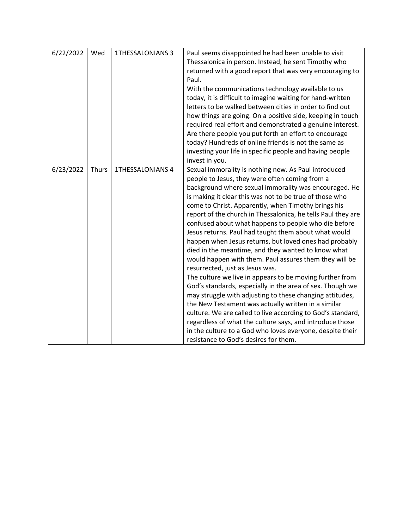| 6/22/2022 | Wed          | <b>1THESSALONIANS 3</b> | Paul seems disappointed he had been unable to visit<br>Thessalonica in person. Instead, he sent Timothy who<br>returned with a good report that was very encouraging to<br>Paul.<br>With the communications technology available to us<br>today, it is difficult to imagine waiting for hand-written<br>letters to be walked between cities in order to find out<br>how things are going. On a positive side, keeping in touch<br>required real effort and demonstrated a genuine interest.<br>Are there people you put forth an effort to encourage<br>today? Hundreds of online friends is not the same as<br>investing your life in specific people and having people<br>invest in you.                                                                                                                                                                                                                                                                                                                                                                                                                                                                  |
|-----------|--------------|-------------------------|-------------------------------------------------------------------------------------------------------------------------------------------------------------------------------------------------------------------------------------------------------------------------------------------------------------------------------------------------------------------------------------------------------------------------------------------------------------------------------------------------------------------------------------------------------------------------------------------------------------------------------------------------------------------------------------------------------------------------------------------------------------------------------------------------------------------------------------------------------------------------------------------------------------------------------------------------------------------------------------------------------------------------------------------------------------------------------------------------------------------------------------------------------------|
| 6/23/2022 | <b>Thurs</b> | <b>1THESSALONIANS 4</b> | Sexual immorality is nothing new. As Paul introduced<br>people to Jesus, they were often coming from a<br>background where sexual immorality was encouraged. He<br>is making it clear this was not to be true of those who<br>come to Christ. Apparently, when Timothy brings his<br>report of the church in Thessalonica, he tells Paul they are<br>confused about what happens to people who die before<br>Jesus returns. Paul had taught them about what would<br>happen when Jesus returns, but loved ones had probably<br>died in the meantime, and they wanted to know what<br>would happen with them. Paul assures them they will be<br>resurrected, just as Jesus was.<br>The culture we live in appears to be moving further from<br>God's standards, especially in the area of sex. Though we<br>may struggle with adjusting to these changing attitudes,<br>the New Testament was actually written in a similar<br>culture. We are called to live according to God's standard,<br>regardless of what the culture says, and introduce those<br>in the culture to a God who loves everyone, despite their<br>resistance to God's desires for them. |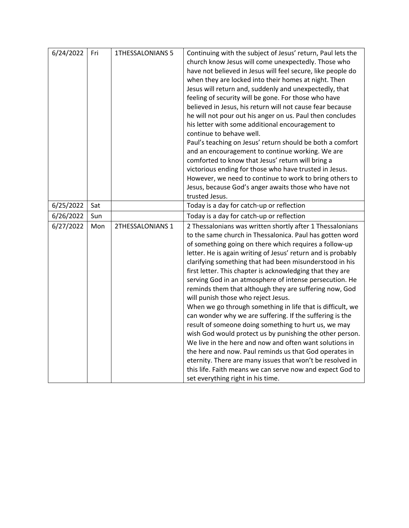| 6/24/2022 | Fri | <b>1THESSALONIANS 5</b> | Continuing with the subject of Jesus' return, Paul lets the<br>church know Jesus will come unexpectedly. Those who<br>have not believed in Jesus will feel secure, like people do<br>when they are locked into their homes at night. Then<br>Jesus will return and, suddenly and unexpectedly, that<br>feeling of security will be gone. For those who have<br>believed in Jesus, his return will not cause fear because<br>he will not pour out his anger on us. Paul then concludes<br>his letter with some additional encouragement to<br>continue to behave well.<br>Paul's teaching on Jesus' return should be both a comfort<br>and an encouragement to continue working. We are<br>comforted to know that Jesus' return will bring a<br>victorious ending for those who have trusted in Jesus.<br>However, we need to continue to work to bring others to<br>Jesus, because God's anger awaits those who have not<br>trusted Jesus.                                                                                                                            |
|-----------|-----|-------------------------|-----------------------------------------------------------------------------------------------------------------------------------------------------------------------------------------------------------------------------------------------------------------------------------------------------------------------------------------------------------------------------------------------------------------------------------------------------------------------------------------------------------------------------------------------------------------------------------------------------------------------------------------------------------------------------------------------------------------------------------------------------------------------------------------------------------------------------------------------------------------------------------------------------------------------------------------------------------------------------------------------------------------------------------------------------------------------|
| 6/25/2022 | Sat |                         | Today is a day for catch-up or reflection                                                                                                                                                                                                                                                                                                                                                                                                                                                                                                                                                                                                                                                                                                                                                                                                                                                                                                                                                                                                                             |
| 6/26/2022 | Sun |                         | Today is a day for catch-up or reflection                                                                                                                                                                                                                                                                                                                                                                                                                                                                                                                                                                                                                                                                                                                                                                                                                                                                                                                                                                                                                             |
| 6/27/2022 | Mon | 2THESSALONIANS 1        | 2 Thessalonians was written shortly after 1 Thessalonians<br>to the same church in Thessalonica. Paul has gotten word<br>of something going on there which requires a follow-up<br>letter. He is again writing of Jesus' return and is probably<br>clarifying something that had been misunderstood in his<br>first letter. This chapter is acknowledging that they are<br>serving God in an atmosphere of intense persecution. He<br>reminds them that although they are suffering now, God<br>will punish those who reject Jesus.<br>When we go through something in life that is difficult, we<br>can wonder why we are suffering. If the suffering is the<br>result of someone doing something to hurt us, we may<br>wish God would protect us by punishing the other person.<br>We live in the here and now and often want solutions in<br>the here and now. Paul reminds us that God operates in<br>eternity. There are many issues that won't be resolved in<br>this life. Faith means we can serve now and expect God to<br>set everything right in his time. |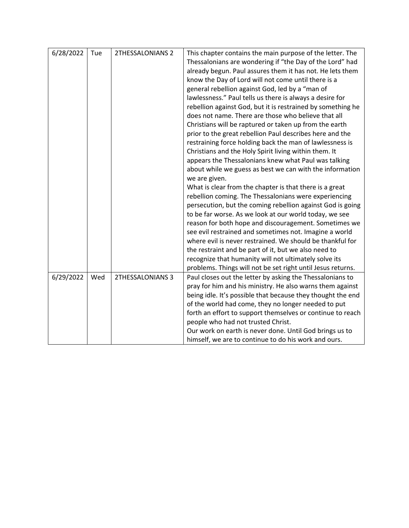| 6/28/2022 | Tue | 2THESSALONIANS 2 | This chapter contains the main purpose of the letter. The<br>Thessalonians are wondering if "the Day of the Lord" had<br>already begun. Paul assures them it has not. He lets them<br>know the Day of Lord will not come until there is a<br>general rebellion against God, led by a "man of<br>lawlessness." Paul tells us there is always a desire for<br>rebellion against God, but it is restrained by something he<br>does not name. There are those who believe that all<br>Christians will be raptured or taken up from the earth<br>prior to the great rebellion Paul describes here and the<br>restraining force holding back the man of lawlessness is<br>Christians and the Holy Spirit living within them. It<br>appears the Thessalonians knew what Paul was talking<br>about while we guess as best we can with the information<br>we are given.<br>What is clear from the chapter is that there is a great<br>rebellion coming. The Thessalonians were experiencing<br>persecution, but the coming rebellion against God is going<br>to be far worse. As we look at our world today, we see<br>reason for both hope and discouragement. Sometimes we<br>see evil restrained and sometimes not. Imagine a world<br>where evil is never restrained. We should be thankful for<br>the restraint and be part of it, but we also need to<br>recognize that humanity will not ultimately solve its |
|-----------|-----|------------------|-------------------------------------------------------------------------------------------------------------------------------------------------------------------------------------------------------------------------------------------------------------------------------------------------------------------------------------------------------------------------------------------------------------------------------------------------------------------------------------------------------------------------------------------------------------------------------------------------------------------------------------------------------------------------------------------------------------------------------------------------------------------------------------------------------------------------------------------------------------------------------------------------------------------------------------------------------------------------------------------------------------------------------------------------------------------------------------------------------------------------------------------------------------------------------------------------------------------------------------------------------------------------------------------------------------------------------------------------------------------------------------------------------------|
| 6/29/2022 | Wed | 2THESSALONIANS 3 | problems. Things will not be set right until Jesus returns.<br>Paul closes out the letter by asking the Thessalonians to                                                                                                                                                                                                                                                                                                                                                                                                                                                                                                                                                                                                                                                                                                                                                                                                                                                                                                                                                                                                                                                                                                                                                                                                                                                                                    |
|           |     |                  | pray for him and his ministry. He also warns them against<br>being idle. It's possible that because they thought the end<br>of the world had come, they no longer needed to put<br>forth an effort to support themselves or continue to reach<br>people who had not trusted Christ.<br>Our work on earth is never done. Until God brings us to<br>himself, we are to continue to do his work and ours.                                                                                                                                                                                                                                                                                                                                                                                                                                                                                                                                                                                                                                                                                                                                                                                                                                                                                                                                                                                                      |